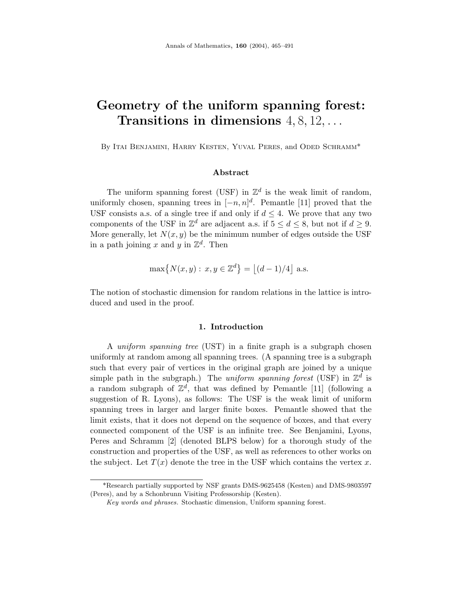# **Geometry of the uniform spanning forest: Transitions in dimensions** 4, 8, 12,...

By Itai Benjamini, Harry Kesten, Yuval Peres, and Oded Schramm<sup>\*</sup>

#### **Abstract**

The uniform spanning forest (USF) in  $\mathbb{Z}^d$  is the weak limit of random, uniformly chosen, spanning trees in  $[-n, n]^d$ . Pemantle [11] proved that the USF consists a.s. of a single tree if and only if  $d \leq 4$ . We prove that any two components of the USF in  $\mathbb{Z}^d$  are adjacent a.s. if  $5 \leq d \leq 8$ , but not if  $d \geq 9$ . More generally, let  $N(x, y)$  be the minimum number of edges outside the USF in a path joining x and y in  $\mathbb{Z}^d$ . Then

$$
\max\left\{N(x,y): x, y \in \mathbb{Z}^d\right\} = \left\lfloor (d-1)/4 \right\rfloor \text{ a.s.}
$$

The notion of stochastic dimension for random relations in the lattice is introduced and used in the proof.

#### **1. Introduction**

A uniform spanning tree (UST) in a finite graph is a subgraph chosen uniformly at random among all spanning trees. (A spanning tree is a subgraph such that every pair of vertices in the original graph are joined by a unique simple path in the subgraph.) The *uniform spanning forest* (USF) in  $\mathbb{Z}^d$  is a random subgraph of  $\mathbb{Z}^d$ , that was defined by Pemantle [11] (following a suggestion of R. Lyons), as follows: The USF is the weak limit of uniform spanning trees in larger and larger finite boxes. Pemantle showed that the limit exists, that it does not depend on the sequence of boxes, and that every connected component of the USF is an infinite tree. See Benjamini, Lyons, Peres and Schramm [2] (denoted BLPS below) for a thorough study of the construction and properties of the USF, as well as references to other works on the subject. Let  $T(x)$  denote the tree in the USF which contains the vertex  $x$ .

<sup>\*</sup>Research partially supported by NSF grants DMS-9625458 (Kesten) and DMS-9803597 (Peres), and by a Schonbrunn Visiting Professorship (Kesten).

*Key words and phrases.* Stochastic dimension, Uniform spanning forest.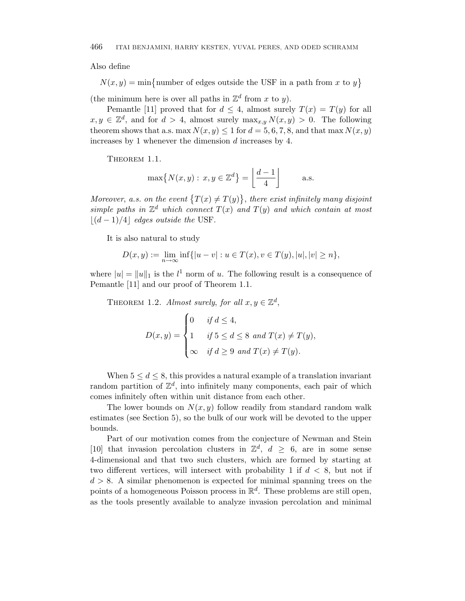Also define

 $N(x, y) = \min\{\text{number of edges outside the USF in a path from x to y}\}\$ 

(the minimum here is over all paths in  $\mathbb{Z}^d$  from *x* to *y*).

Pemantle [11] proved that for  $d \leq 4$ , almost surely  $T(x) = T(y)$  for all  $x, y \in \mathbb{Z}^d$ , and for  $d > 4$ , almost surely  $\max_{x, y} N(x, y) > 0$ . The following theorem shows that a.s. max  $N(x, y) \le 1$  for  $d = 5, 6, 7, 8$ , and that max  $N(x, y)$ increases by 1 whenever the dimension *d* increases by 4.

THEOREM 1.1.

$$
\max\{N(x,y): x,y \in \mathbb{Z}^d\} = \left\lfloor \frac{d-1}{4} \right\rfloor
$$
 a.s.

Moreover, a.s. on the event  $\{T(x) \neq T(y)\}$ , there exist infinitely many disjoint simple paths in  $\mathbb{Z}^d$  which connect  $T(x)$  and  $T(y)$  and which contain at most  $|(d-1)/4|$  edges outside the USF.

It is also natural to study

$$
D(x, y) := \lim_{n \to \infty} \inf \{ |u - v| : u \in T(x), v \in T(y), |u|, |v| \ge n \},\
$$

where  $|u| = ||u||_1$  is the  $l^1$  norm of *u*. The following result is a consequence of Pemantle [11] and our proof of Theorem 1.1.

THEOREM 1.2. Almost surely, for all  $x, y \in \mathbb{Z}^d$ ,

$$
D(x,y) = \begin{cases} 0 & \text{if } d \le 4, \\ 1 & \text{if } 5 \le d \le 8 \text{ and } T(x) \neq T(y), \\ \infty & \text{if } d \ge 9 \text{ and } T(x) \neq T(y). \end{cases}
$$

When  $5 \leq d \leq 8$ , this provides a natural example of a translation invariant random partition of  $\mathbb{Z}^d$ , into infinitely many components, each pair of which comes infinitely often within unit distance from each other.

The lower bounds on  $N(x, y)$  follow readily from standard random walk estimates (see Section 5), so the bulk of our work will be devoted to the upper bounds.

Part of our motivation comes from the conjecture of Newman and Stein [10] that invasion percolation clusters in  $\mathbb{Z}^d$ ,  $d \geq 6$ , are in some sense 4-dimensional and that two such clusters, which are formed by starting at two different vertices, will intersect with probability 1 if *d <* 8, but not if  $d > 8$ . A similar phenomenon is expected for minimal spanning trees on the points of a homogeneous Poisson process in  $\mathbb{R}^d$ . These problems are still open, as the tools presently available to analyze invasion percolation and minimal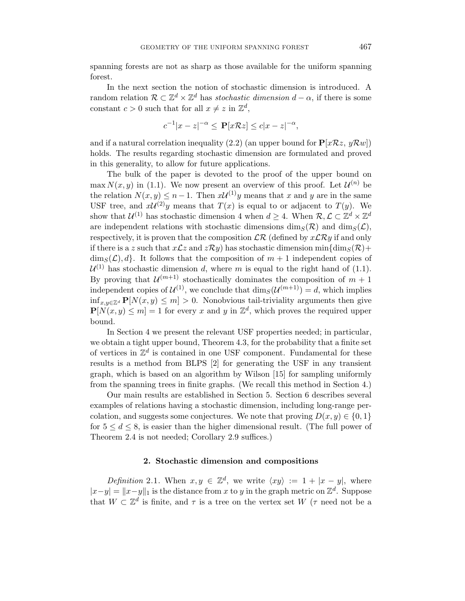spanning forests are not as sharp as those available for the uniform spanning forest.

In the next section the notion of stochastic dimension is introduced. A random relation  $\mathcal{R} \subset \mathbb{Z}^d \times \mathbb{Z}^d$  has *stochastic dimension*  $d - \alpha$ , if there is some constant  $c > 0$  such that for all  $x \neq z$  in  $\mathbb{Z}^d$ ,

$$
c^{-1}|x-z|^{-\alpha} \le \mathbf{P}[x\mathcal{R}z] \le c|x-z|^{-\alpha},
$$

and if a natural correlation inequality (2.2) (an upper bound for  $\mathbf{P}[x\mathcal{R}z, y\mathcal{R}w]$ ) holds. The results regarding stochastic dimension are formulated and proved in this generality, to allow for future applications.

The bulk of the paper is devoted to the proof of the upper bound on max  $N(x, y)$  in (1.1). We now present an overview of this proof. Let  $\mathcal{U}^{(n)}$  be the relation  $N(x, y) \leq n - 1$ . Then  $xU^{(1)}y$  means that x and y are in the same USF tree, and  $xU^{(2)}y$  means that  $T(x)$  is equal to or adjacent to  $T(y)$ . We show that  $\mathcal{U}^{(1)}$  has stochastic dimension 4 when  $d \geq 4$ . When  $\mathcal{R}, \mathcal{L} \subset \mathbb{Z}^d \times \mathbb{Z}^d$ are independent relations with stochastic dimensions  $\dim_S(\mathcal{R})$  and  $\dim_S(\mathcal{L})$ , respectively, it is proven that the composition  $\mathcal{LR}$  (defined by  $x\mathcal{LR}y$  if and only if there is a *z* such that  $x\mathcal{L}z$  and  $z\mathcal{R}y$  has stochastic dimension min{dim<sub>S</sub>( $\mathcal{R}$ )+  $\dim_S(\mathcal{L}), d$ . It follows that the composition of  $m+1$  independent copies of  $\mathcal{U}^{(1)}$  has stochastic dimension *d*, where *m* is equal to the right hand of (1.1). By proving that  $\mathcal{U}^{(m+1)}$  stochastically dominates the composition of  $m+1$ independent copies of  $\mathcal{U}^{(1)}$ , we conclude that  $\dim_{S}(\mathcal{U}^{(m+1)}) = d$ , which implies inf<sub>*x,y∈Z<sup>d</sup>*</sub> **P**[ $N(x, y)$  ≤ *m*] > 0. Nonobvious tail-triviality arguments then give  $P[N(x, y) \le m] = 1$  for every *x* and *y* in  $\mathbb{Z}^d$ , which proves the required upper bound.

In Section 4 we present the relevant USF properties needed; in particular, we obtain a tight upper bound, Theorem 4.3, for the probability that a finite set of vertices in  $\mathbb{Z}^d$  is contained in one USF component. Fundamental for these results is a method from BLPS [2] for generating the USF in any transient graph, which is based on an algorithm by Wilson [15] for sampling uniformly from the spanning trees in finite graphs. (We recall this method in Section 4.)

Our main results are established in Section 5. Section 6 describes several examples of relations having a stochastic dimension, including long-range percolation, and suggests some conjectures. We note that proving  $D(x, y) \in \{0, 1\}$ for  $5 \leq d \leq 8$ , is easier than the higher dimensional result. (The full power of Theorem 2.4 is not needed; Corollary 2.9 suffices.)

## **2. Stochastic dimension and compositions**

Definition 2.1. When  $x, y \in \mathbb{Z}^d$ , we write  $\langle xy \rangle := 1 + |x - y|$ , where  $|x-y| = ||x-y||_1$  is the distance from x to y in the graph metric on  $\mathbb{Z}^d$ . Suppose that  $W \subset \mathbb{Z}^d$  is finite, and  $\tau$  is a tree on the vertex set  $W$  ( $\tau$  need not be a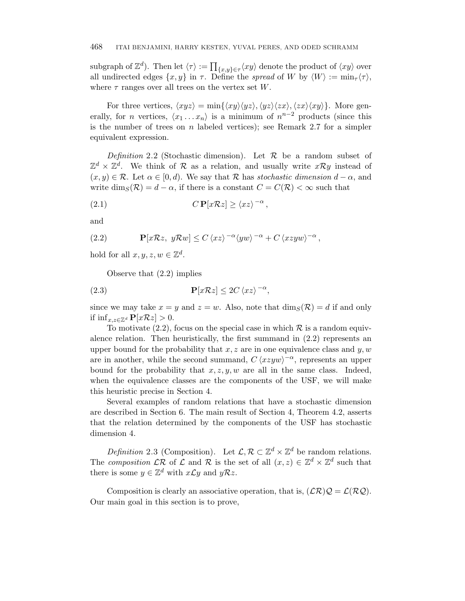subgraph of  $\mathbb{Z}^d$ ). Then let  $\langle \tau \rangle := \prod_{\{x,y\} \in \tau} \langle xy \rangle$  denote the product of  $\langle xy \rangle$  over all undirected edges  $\{x, y\}$  in  $\tau$ . Define the *spread* of W by  $\langle W \rangle := \min_{\tau} \langle \tau \rangle$ , where  $\tau$  ranges over all trees on the vertex set *W*.

For three vertices,  $\langle xyz \rangle = \min\{\langle xy \rangle \langle yz \rangle, \langle yz \rangle \langle zx \rangle, \langle zx \rangle \langle xy \rangle\}.$  More generally, for *n* vertices,  $\langle x_1 \dots x_n \rangle$  is a minimum of  $n^{n-2}$  products (since this is the number of trees on *n* labeled vertices); see Remark 2.7 for a simpler equivalent expression.

Definition 2.2 (Stochastic dimension). Let  $\mathcal R$  be a random subset of  $\mathbb{Z}^d \times \mathbb{Z}^d$ . We think of  $\mathcal R$  as a relation, and usually write  $x\mathcal{R}y$  instead of  $(x, y) \in \mathcal{R}$ . Let  $\alpha \in [0, d)$ . We say that  $\mathcal{R}$  has stochastic dimension  $d - \alpha$ , and write  $\dim_S(\mathcal{R}) = d - \alpha$ , if there is a constant  $C = C(\mathcal{R}) < \infty$  such that

(2.1) 
$$
C \mathbf{P}[x \mathcal{R} z] \geq \langle xz \rangle^{-\alpha},
$$

and

(2.2) 
$$
\mathbf{P}[x\mathcal{R}z, y\mathcal{R}w] \leq C \langle xz \rangle^{-\alpha} \langle yw \rangle^{-\alpha} + C \langle xzyw \rangle^{-\alpha},
$$

hold for all  $x, y, z, w \in \mathbb{Z}^d$ .

Observe that (2.2) implies

(2.3) 
$$
\mathbf{P}[x\mathcal{R}z] \le 2C \langle xz \rangle^{-\alpha},
$$

since we may take  $x = y$  and  $z = w$ . Also, note that  $\dim_S(\mathcal{R}) = d$  if and only if inf<sub>x,z∈ $\mathbb{Z}^d$ </sub>  $\mathbf{P}[x\mathcal{R}z] > 0$ .

To motivate (2.2), focus on the special case in which  $\mathcal R$  is a random equivalence relation. Then heuristically, the first summand in  $(2.2)$  represents an upper bound for the probability that *x, z* are in one equivalence class and *y, w* are in another, while the second summand,  $C \langle xzyw \rangle^{-\alpha}$ , represents an upper bound for the probability that  $x, z, y, w$  are all in the same class. Indeed, when the equivalence classes are the components of the USF, we will make this heuristic precise in Section 4.

Several examples of random relations that have a stochastic dimension are described in Section 6. The main result of Section 4, Theorem 4.2, asserts that the relation determined by the components of the USF has stochastic dimension 4.

*Definition* 2.3 (Composition). Let  $\mathcal{L}, \mathcal{R} \subset \mathbb{Z}^d \times \mathbb{Z}^d$  be random relations. The *composition*  $\mathcal{LR}$  of  $\mathcal L$  and  $\mathcal R$  is the set of all  $(x, z) \in \mathbb Z^d \times \mathbb Z^d$  such that there is some  $y \in \mathbb{Z}^d$  with  $x \mathcal{L} y$  and  $y \mathcal{R} z$ .

Composition is clearly an associative operation, that is,  $(\mathcal{LR})\mathcal{Q} = \mathcal{L}(\mathcal{R}\mathcal{Q})$ . Our main goal in this section is to prove,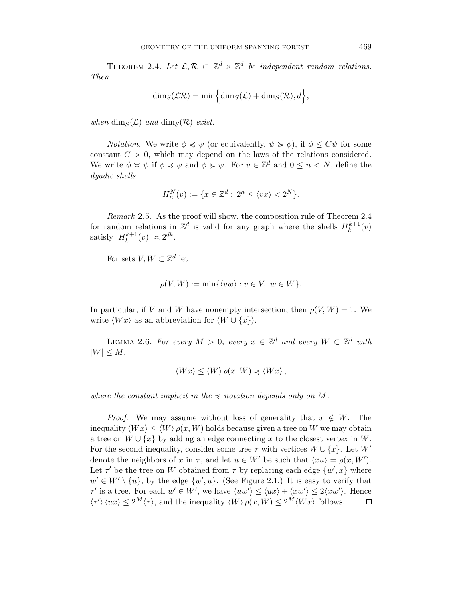THEOREM 2.4. Let  $\mathcal{L}, \mathcal{R} \subset \mathbb{Z}^d \times \mathbb{Z}^d$  be independent random relations. Then

$$
\dim_S(\mathcal{LR}) = \min\Bigl\{\dim_S(\mathcal{L}) + \dim_S(\mathcal{R}), d\Bigr\},\,
$$

when  $\dim_S(\mathcal{L})$  and  $\dim_S(\mathcal{R})$  exist.

*Notation.* We write  $\phi \preccurlyeq \psi$  (or equivalently,  $\psi \succeq \phi$ ), if  $\phi \leq C\psi$  for some constant  $C > 0$ , which may depend on the laws of the relations considered. We write  $\phi \simeq \psi$  if  $\phi \preccurlyeq \psi$  and  $\phi \succcurlyeq \psi$ . For  $v \in \mathbb{Z}^d$  and  $0 \leq n \lt N$ , define the dyadic shells

$$
H_n^N(v) := \{ x \in \mathbb{Z}^d : \, 2^n \le \langle vx \rangle < 2^N \}.
$$

Remark 2.5. As the proof will show, the composition rule of Theorem 2.4 for random relations in  $\mathbb{Z}^d$  is valid for any graph where the shells  $H_k^{k+1}(v)$ satisfy  $|H_k^{k+1}(v)| \approx 2^{dk}$ .

For sets  $V, W \subset \mathbb{Z}^d$  let

$$
\rho(V, W) := \min\{\langle vw \rangle : v \in V, w \in W\}.
$$

In particular, if *V* and *W* have nonempty intersection, then  $\rho(V, W) = 1$ . We write  $\langle Wx \rangle$  as an abbreviation for  $\langle W \cup \{x\} \rangle$ .

LEMMA 2.6. For every  $M > 0$ , every  $x \in \mathbb{Z}^d$  and every  $W \subset \mathbb{Z}^d$  with  $|W| \leq M$ ,

$$
\langle Wx \rangle \le \langle W \rangle \, \rho(x, W) \preccurlyeq \langle Wx \rangle \, ,
$$

where the constant implicit in the  $\preccurlyeq$  notation depends only on M.

*Proof.* We may assume without loss of generality that  $x \notin W$ . The inequality  $\langle Wx \rangle \le \langle W \rangle \rho(x, W)$  holds because given a tree on W we may obtain a tree on  $W \cup \{x\}$  by adding an edge connecting x to the closest vertex in W. For the second inequality, consider some tree  $\tau$  with vertices  $W \cup \{x\}$ . Let  $W'$ denote the neighbors of *x* in  $\tau$ , and let  $u \in W'$  be such that  $\langle xu \rangle = \rho(x, W')$ . Let  $\tau'$  be the tree on *W* obtained from  $\tau$  by replacing each edge  $\{w', x\}$  where  $w' \in W' \setminus \{u\}$ , by the edge  $\{w', u\}$ . (See Figure 2.1.) It is easy to verify that *τ*' is a tree. For each  $w' \in W'$ , we have  $\langle uw' \rangle \le \langle ux \rangle + \langle xw' \rangle \le 2\langle xw' \rangle$ . Hence  $\langle \tau' \rangle$   $\langle ux \rangle \leq 2^M \langle \tau \rangle$ , and the inequality  $\langle W \rangle \rho(x, W) \leq 2^M \langle Wx \rangle$  follows.  $\Box$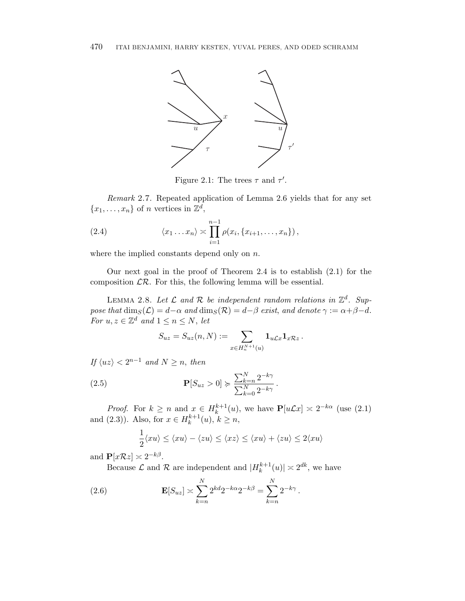

Figure 2.1: The trees  $\tau$  and  $\tau'$ .

Remark 2.7. Repeated application of Lemma 2.6 yields that for any set  ${x_1, \ldots, x_n}$  of *n* vertices in  $\mathbb{Z}^d$ ,

(2.4) 
$$
\langle x_1 ... x_n \rangle \asymp \prod_{i=1}^{n-1} \rho(x_i, \{x_{i+1}, ..., x_n\}),
$$

where the implied constants depend only on *n*.

Our next goal in the proof of Theorem 2.4 is to establish (2.1) for the composition  $\mathcal{LR}$ . For this, the following lemma will be essential.

LEMMA 2.8. Let  $\mathcal L$  and  $\mathcal R$  be independent random relations in  $\mathbb Z^d$ . Suppose that  $\dim_S(\mathcal{L}) = d - \alpha$  and  $\dim_S(\mathcal{R}) = d - \beta$  exist, and denote  $\gamma := \alpha + \beta - d$ . For  $u, z \in \mathbb{Z}^d$  and  $1 \leq n \leq N$ , let

$$
S_{uz} = S_{uz}(n,N) := \sum_{x \in H_n^{N+1}(u)} \mathbf{1}_{u \mathcal{L}x} \mathbf{1}_{x \mathcal{R}z}.
$$

If  $\langle uz \rangle < 2^{n-1}$  and  $N \geq n$ , then

(2.5) 
$$
\mathbf{P}[S_{uz} > 0] \succcurlyeq \frac{\sum_{k=n}^{N} 2^{-k\gamma}}{\sum_{k=0}^{N} 2^{-k\gamma}}.
$$

*Proof.* For  $k \ge n$  and  $x \in H_k^{k+1}(u)$ , we have  $\mathbf{P}[u\mathcal{L}x] \approx 2^{-k\alpha}$  (use (2.1) and (2.3)). Also, for  $x \in H_k^{k+1}(u)$ ,  $k \ge n$ ,

$$
\frac{1}{2}\langle xu \rangle \le \langle xu \rangle - \langle zu \rangle \le \langle xz \rangle \le \langle xu \rangle + \langle zu \rangle \le 2\langle xu \rangle
$$

and  $\mathbf{P}[x \mathcal{R} z] \approx 2^{-k\beta}$ .

Because  $\mathcal L$  and  $\mathcal R$  are independent and  $|H_k^{k+1}(u)| \approx 2^{dk}$ , we have

(2.6) 
$$
\mathbf{E}[S_{uz}] \asymp \sum_{k=n}^{N} 2^{kd} 2^{-k\alpha} 2^{-k\beta} = \sum_{k=n}^{N} 2^{-k\gamma}.
$$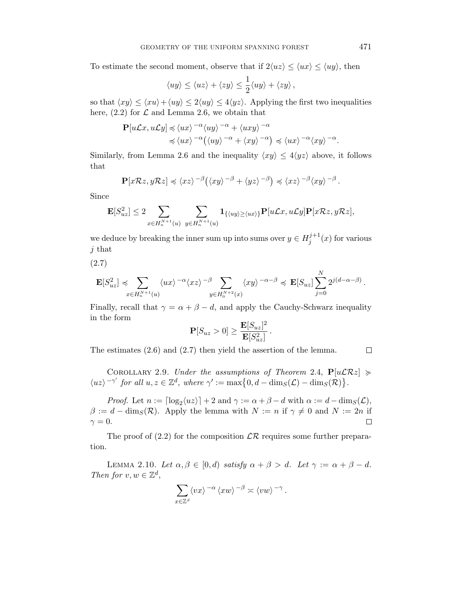To estimate the second moment, observe that if  $2\langle uz \rangle \leq \langle ux \rangle \leq \langle uy \rangle$ , then

$$
\langle uy \rangle \le \langle uz \rangle + \langle zy \rangle \le \frac{1}{2} \langle uy \rangle + \langle zy \rangle,
$$

so that  $\langle xy \rangle \le \langle xu \rangle + \langle uy \rangle \le 2\langle uy \rangle \le 4\langle yz \rangle$ . Applying the first two inequalities here,  $(2.2)$  for  $\mathcal L$  and Lemma 2.6, we obtain that

$$
\mathbf{P}[u\mathcal{L}x, u\mathcal{L}y] \preccurlyeq \langle ux \rangle^{-\alpha} \langle uy \rangle^{-\alpha} + \langle uxy \rangle^{-\alpha}
$$

$$
\preccurlyeq \langle ux \rangle^{-\alpha} \big( \langle uy \rangle^{-\alpha} + \langle xy \rangle^{-\alpha} \big) \preccurlyeq \langle ux \rangle^{-\alpha} \langle xy \rangle^{-\alpha}.
$$

Similarly, from Lemma 2.6 and the inequality  $\langle xy \rangle \leq 4 \langle yz \rangle$  above, it follows that

$$
\mathbf{P}[x\mathcal{R}z, y\mathcal{R}z] \preccurlyeq \langle xz \rangle^{-\beta} (\langle xy \rangle^{-\beta} + \langle yz \rangle^{-\beta}) \preccurlyeq \langle xz \rangle^{-\beta} \langle xy \rangle^{-\beta}.
$$

Since

$$
\mathbf{E}[S_{uz}^2] \le 2 \sum_{x \in H_n^{N+1}(u)} \sum_{y \in H_n^{N+1}(u)} \mathbf{1}_{\{\langle uy \rangle \ge \langle ux \rangle\}} \mathbf{P}[u \mathcal{L}x, u \mathcal{L}y] \mathbf{P}[x \mathcal{R}z, y \mathcal{R}z],
$$

we deduce by breaking the inner sum up into sums over  $y \in H_j^{j+1}(x)$  for various *j* that

(2.7)

$$
\mathbf{E}[S_{uz}^2] \preccurlyeq \sum_{x \in H_n^{N+1}(u)} \langle ux \rangle^{-\alpha} \langle xz \rangle^{-\beta} \sum_{y \in H_n^{N+2}(x)} \langle xy \rangle^{-\alpha-\beta} \preccurlyeq \mathbf{E}[S_{uz}] \sum_{j=0}^N 2^{j(d-\alpha-\beta)}.
$$

Finally, recall that  $\gamma = \alpha + \beta - d$ , and apply the Cauchy-Schwarz inequality in the form

$$
\mathbf{P}[S_{uz} > 0] \ge \frac{\mathbf{E}[S_{uz}]^2}{\mathbf{E}[S_{uz}^2]}.
$$

The estimates (2.6) and (2.7) then yield the assertion of the lemma.

 $\Box$ 

COROLLARY 2.9. Under the assumptions of Theorem 2.4,  $P[u\mathcal{L}\mathcal{R}z] \geq$  $\langle uz \rangle^{-\gamma'}$  *for all*  $u, z \in \mathbb{Z}^d$ , where  $\gamma' := \max\{0, d - \dim_S(\mathcal{L}) - \dim_S(\mathcal{R})\}.$ 

*Proof.* Let  $n := \lceil \log_2(uz) \rceil + 2$  and  $\gamma := \alpha + \beta - d$  with  $\alpha := d - \dim_S(\mathcal{L}),$  $\beta := d - \dim_S(\mathcal{R})$ . Apply the lemma with  $N := n$  if  $\gamma \neq 0$  and  $N := 2n$  if  $\gamma = 0$ .  $\Box$ 

The proof of  $(2.2)$  for the composition  $\mathcal{LR}$  requires some further preparation.

LEMMA 2.10. Let  $\alpha, \beta \in [0, d)$  satisfy  $\alpha + \beta > d$ . Let  $\gamma := \alpha + \beta - d$ . Then for  $v, w \in \mathbb{Z}^d$ ,

$$
\sum_{x\in\mathbb{Z}^d}\langle vx\rangle^{-\alpha}\langle xw\rangle^{-\beta}\asymp\langle vw\rangle^{-\gamma}.
$$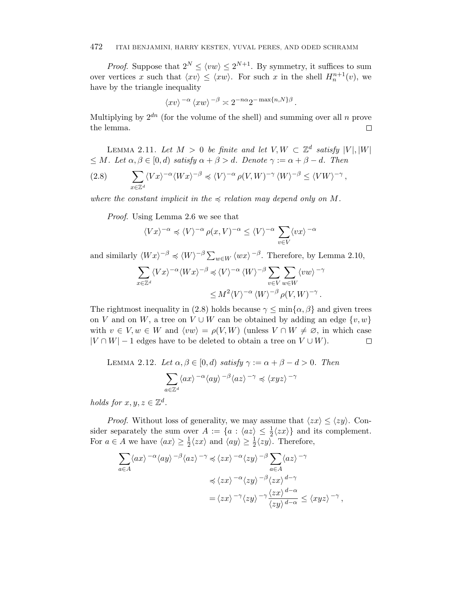#### 472 ITAI BENJAMINI, HARRY KESTEN, YUVAL PERES, AND ODED SCHRAMM

*Proof.* Suppose that  $2^N \le \langle vw \rangle \le 2^{N+1}$ . By symmetry, it suffices to sum over vertices x such that  $\langle xv \rangle \leq \langle xw \rangle$ . For such x in the shell  $H_n^{n+1}(v)$ , we have by the triangle inequality

$$
\langle xv \rangle^{-\alpha} \langle xw \rangle^{-\beta} \asymp 2^{-n\alpha} 2^{-\max\{n,N\}\beta}.
$$

Multiplying by  $2^{dn}$  (for the volume of the shell) and summing over all *n* prove the lemma.  $\Box$ 

LEMMA 2.11. Let  $M > 0$  be finite and let  $V, W \subset \mathbb{Z}^d$  satisfy  $|V|, |W|$  $\leq M$ . Let  $\alpha, \beta \in [0, d)$  satisfy  $\alpha + \beta > d$ . Denote  $\gamma := \alpha + \beta - d$ . Then

$$
(2.8) \qquad \sum_{x\in\mathbb{Z}^d} \langle Vx\rangle^{-\alpha} \langle Wx\rangle^{-\beta} \preccurlyeq \langle V\rangle^{-\alpha} \rho(V,W)^{-\gamma} \langle W\rangle^{-\beta} \leq \langle VW\rangle^{-\gamma},
$$

where the constant implicit in the  $\preccurlyeq$  relation may depend only on M.

Proof. Using Lemma 2.6 we see that

$$
\langle Vx\rangle^{-\alpha}\preccurlyeq \langle V\rangle^{-\alpha}\,\rho(x,V)^{-\alpha}\leq \langle V\rangle^{-\alpha}\,\sum_{v\in V}\langle vx\rangle^{-\alpha}
$$

and similarly  $\langle Wx \rangle^{-\beta} \preccurlyeq \langle W \rangle^{-\beta} \sum_{w \in W} \langle wx \rangle^{-\beta}$ . Therefore, by Lemma 2.10,

$$
\sum_{x \in \mathbb{Z}^d} \langle Vx \rangle^{-\alpha} \langle Wx \rangle^{-\beta} \preccurlyeq \langle V \rangle^{-\alpha} \langle W \rangle^{-\beta} \sum_{v \in V} \sum_{w \in W} \langle vw \rangle^{-\gamma}
$$
  

$$
\leq M^2 \langle V \rangle^{-\alpha} \langle W \rangle^{-\beta} \rho(V, W)^{-\gamma}.
$$

The rightmost inequality in (2.8) holds because  $\gamma \leq \min{\alpha, \beta}$  and given trees on *V* and on *W*, a tree on  $V \cup W$  can be obtained by adding an edge  $\{v, w\}$ with  $v \in V, w \in W$  and  $\langle vw \rangle = \rho(V, W)$  (unless  $V \cap W \neq \emptyset$ , in which case  $|V \cap W| - 1$  edges have to be deleted to obtain a tree on  $V \cup W$ ).  $\Box$ 

LEMMA 2.12. Let 
$$
\alpha, \beta \in [0, d)
$$
 satisfy  $\gamma := \alpha + \beta - d > 0$ . Then  

$$
\sum_{a \in \mathbb{Z}^d} \langle ax \rangle^{-\alpha} \langle ay \rangle^{-\beta} \langle az \rangle^{-\gamma} \preccurlyeq \langle xyz \rangle^{-\gamma}
$$

holds for  $x, y, z \in \mathbb{Z}^d$ .

*Proof.* Without loss of generality, we may assume that  $\langle zx \rangle \leq \langle zy \rangle$ . Consider separately the sum over  $A := \{a : \langle az \rangle \leq \frac{1}{2} \langle zx \rangle\}$  and its complement. For  $a \in A$  we have  $\langle ax \rangle \geq \frac{1}{2} \langle zx \rangle$  and  $\langle ay \rangle \geq \frac{1}{2} \langle zy \rangle$ . Therefore,

$$
\sum_{a\in A} \langle ax \rangle^{-\alpha} \langle ay \rangle^{-\beta} \langle az \rangle^{-\gamma} \preccurlyeq \langle zx \rangle^{-\alpha} \langle zy \rangle^{-\beta} \sum_{a\in A} \langle az \rangle^{-\gamma}
$$

$$
\preccurlyeq \langle zx \rangle^{-\alpha} \langle zy \rangle^{-\beta} \langle zx \rangle^{d-\gamma}
$$

$$
= \langle zx \rangle^{-\gamma} \langle zy \rangle^{-\gamma} \frac{\langle zx \rangle^{d-\alpha}}{\langle zy \rangle^{d-\alpha}} \le \langle xyz \rangle^{-\gamma},
$$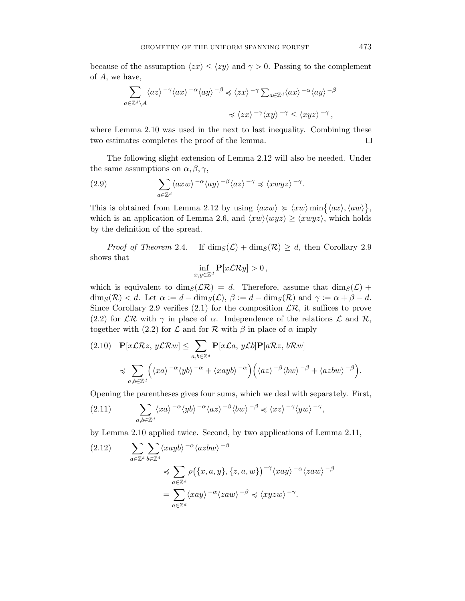because of the assumption  $\langle zx \rangle \leq \langle zy \rangle$  and  $\gamma > 0$ . Passing to the complement of *A*, we have,

$$
\begin{split} \sum_{a\in\mathbb{Z}^d\backslash A}\langle az\rangle^{-\gamma}\langle ax\rangle^{-\alpha}\langle ay\rangle^{-\beta}&\preccurlyeq \langle zx\rangle^{-\gamma}\sum_{a\in\mathbb{Z}^d}\langle ax\rangle^{-\alpha}\langle ay\rangle^{-\beta}\\ &\preccurlyeq \langle zx\rangle^{-\gamma}\langle xy\rangle^{-\gamma}\leq \langle xyz\rangle^{-\gamma}\,, \end{split}
$$

where Lemma 2.10 was used in the next to last inequality. Combining these two estimates completes the proof of the lemma.  $\Box$ 

The following slight extension of Lemma 2.12 will also be needed. Under the same assumptions on  $\alpha$ ,  $\beta$ ,  $\gamma$ ,

(2.9) 
$$
\sum_{a \in \mathbb{Z}^d} \langle axw \rangle^{-\alpha} \langle ay \rangle^{-\beta} \langle az \rangle^{-\gamma} \preccurlyeq \langle xwyz \rangle^{-\gamma}.
$$

This is obtained from Lemma 2.12 by using  $\langle axw \rangle \geq \langle xw \rangle \min{\{\langle ax \rangle, \langle aw \rangle\}},$ which is an application of Lemma 2.6, and  $\langle xw \rangle \langle wyz \rangle \geq \langle xwyz \rangle$ , which holds by the definition of the spread.

*Proof of Theorem 2.4.* If  $\dim_S(\mathcal{L}) + \dim_S(\mathcal{R}) \geq d$ , then Corollary 2.9 shows that

$$
\inf_{x,y\in\mathbb{Z}^d}\mathbf{P}[x\mathcal{L}\mathcal{R}y]>0\,
$$

which is equivalent to dim<sub>S</sub>( $\mathcal{LR}$ ) = *d*. Therefore, assume that dim<sub>S</sub>( $\mathcal{L}$ ) +  $\dim_S(\mathcal{R}) < d$ . Let  $\alpha := d - \dim_S(\mathcal{L}), \ \beta := d - \dim_S(\mathcal{R})$  and  $\gamma := \alpha + \beta - d$ . Since Corollary 2.9 verifies (2.1) for the composition  $\mathcal{LR}$ , it suffices to prove (2.2) for  $\mathcal{LR}$  with  $\gamma$  in place of  $\alpha$ . Independence of the relations  $\mathcal L$  and  $\mathcal R$ , together with (2.2) for  $\mathcal L$  and for  $\mathcal R$  with  $\beta$  in place of  $\alpha$  imply

$$
(2.10) \quad \mathbf{P}[x\mathcal{L}\mathcal{R}z, y\mathcal{L}\mathcal{R}w] \leq \sum_{a,b\in\mathbb{Z}^d} \mathbf{P}[x\mathcal{L}a, y\mathcal{L}b] \mathbf{P}[a\mathcal{R}z, b\mathcal{R}w]
$$

$$
\preccurlyeq \sum_{a,b\in\mathbb{Z}^d} \left( \langle xa \rangle^{-\alpha} \langle yb \rangle^{-\alpha} + \langle xayb \rangle^{-\alpha} \right) \left( \langle az \rangle^{-\beta} \langle bw \rangle^{-\beta} + \langle azbw \rangle^{-\beta} \right).
$$

Opening the parentheses gives four sums, which we deal with separately. First,

$$
(2.11) \qquad \sum_{a,b\in\mathbb{Z}^d} \langle xa \rangle^{-\alpha} \langle yb \rangle^{-\alpha} \langle az \rangle^{-\beta} \langle bw \rangle^{-\beta} \preccurlyeq \langle xz \rangle^{-\gamma} \langle yw \rangle^{-\gamma},
$$

by Lemma 2.10 applied twice. Second, by two applications of Lemma 2.11,

$$
(2.12) \qquad \sum_{a \in \mathbb{Z}^d} \sum_{b \in \mathbb{Z}^d} \langle xayb \rangle^{-\alpha} \langle azbw \rangle^{-\beta}
$$
  
\$\leqslant \sum\_{a \in \mathbb{Z}^d} \rho(\{x, a, y\}, \{z, a, w\})^{-\gamma} \langle xay \rangle^{-\alpha} \langle zaw \rangle^{-\beta}\$  
=\sum\_{a \in \mathbb{Z}^d} \langle xay \rangle^{-\alpha} \langle zaw \rangle^{-\beta} \preccurlyeq \langle xyzw \rangle^{-\gamma}\$.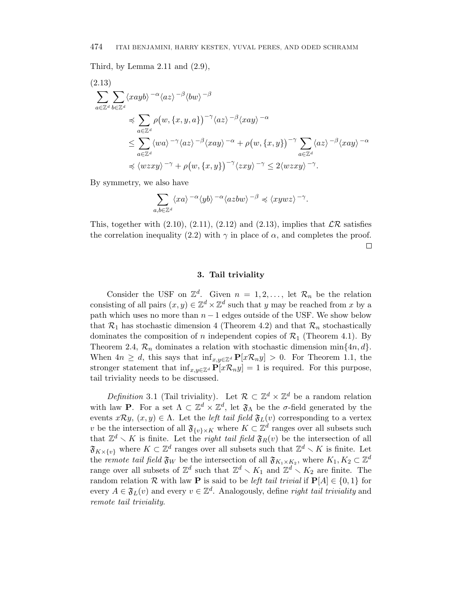Third, by Lemma  $2.11$  and  $(2.9)$ ,

$$
(2.13)
$$
\n
$$
\sum_{a \in \mathbb{Z}^d} \sum_{b \in \mathbb{Z}^d} \langle xayb \rangle^{-\alpha} \langle az \rangle^{-\beta} \langle bw \rangle^{-\beta}
$$
\n
$$
\preccurlyeq \sum_{a \in \mathbb{Z}^d} \rho(w, \{x, y, a\})^{-\gamma} \langle az \rangle^{-\beta} \langle xay \rangle^{-\alpha}
$$
\n
$$
\leq \sum_{a \in \mathbb{Z}^d} \langle wa \rangle^{-\gamma} \langle az \rangle^{-\beta} \langle xay \rangle^{-\alpha} + \rho(w, \{x, y\})^{-\gamma} \sum_{a \in \mathbb{Z}^d} \langle az \rangle^{-\beta} \langle xay \rangle^{-\alpha}
$$
\n
$$
\preccurlyeq \langle wzxy \rangle^{-\gamma} + \rho(w, \{x, y\})^{-\gamma} \langle zxy \rangle^{-\gamma} \leq 2 \langle wzxy \rangle^{-\gamma}.
$$

By symmetry, we also have

$$
\sum_{a,b\in\mathbb{Z}^d}\langle xa\rangle^{-\alpha}\langle yb\rangle^{-\alpha}\langle azbw\rangle^{-\beta}\preccurlyeq \langle xywz\rangle^{-\gamma}.
$$

This, together with  $(2.10)$ ,  $(2.11)$ ,  $(2.12)$  and  $(2.13)$ , implies that  $\mathcal{LR}$  satisfies the correlation inequality (2.2) with  $\gamma$  in place of  $\alpha$ , and completes the proof. П

#### **3. Tail triviality**

Consider the USF on  $\mathbb{Z}^d$ . Given  $n = 1, 2, \ldots$ , let  $\mathcal{R}_n$  be the relation consisting of all pairs  $(x, y) \in \mathbb{Z}^d \times \mathbb{Z}^d$  such that *y* may be reached from *x* by a path which uses no more than  $n-1$  edges outside of the USF. We show below that  $\mathcal{R}_1$  has stochastic dimension 4 (Theorem 4.2) and that  $\mathcal{R}_n$  stochastically dominates the composition of *n* independent copies of  $\mathcal{R}_1$  (Theorem 4.1). By Theorem 2.4,  $\mathcal{R}_n$  dominates a relation with stochastic dimension min $\{4n, d\}$ . When  $4n \geq d$ , this says that  $\inf_{x,y\in\mathbb{Z}^d} \mathbf{P}[x\mathcal{R}_ny] > 0$ . For Theorem 1.1, the stronger statement that  $\inf_{x,y\in\mathbb{Z}^d} \mathbf{P}[x\mathcal{R}_ny] = 1$  is required. For this purpose, tail triviality needs to be discussed.

Definition 3.1 (Tail triviality). Let  $\mathcal{R} \subset \mathbb{Z}^d \times \mathbb{Z}^d$  be a random relation with law **P**. For a set  $\Lambda \subset \mathbb{Z}^d \times \mathbb{Z}^d$ , let  $\mathfrak{F}_{\Lambda}$  be the *σ*-field generated by the events  $x \mathcal{R} y$ ,  $(x, y) \in \Lambda$ . Let the *left tail field*  $\mathfrak{F}_L(v)$  corresponding to a vertex *v* be the intersection of all  $\mathfrak{F}_{\{v\}\times K}$  where  $K \subset \mathbb{Z}^d$  ranges over all subsets such that  $\mathbb{Z}^d \setminus K$  is finite. Let the *right tail field*  $\mathfrak{F}_R(v)$  be the intersection of all  $\mathfrak{F}_{K \times \{v\}}$  where  $K \subset \mathbb{Z}^d$  ranges over all subsets such that  $\mathbb{Z}^d \setminus K$  is finite. Let the *remote tail field*  $\mathfrak{F}_W$  be the intersection of all  $\mathfrak{F}_{K_1 \times K_2}$ , where  $K_1, K_2 \subset \mathbb{Z}^d$ range over all subsets of  $\mathbb{Z}^d$  such that  $\mathbb{Z}^d \setminus K_1$  and  $\mathbb{Z}^d \setminus K_2$  are finite. The random relation R with law **P** is said to be *left tail trivial* if  $P[A] \in \{0, 1\}$  for every  $A \in \mathfrak{F}_L(v)$  and every  $v \in \mathbb{Z}^d$ . Analogously, define *right tail triviality* and remote tail triviality.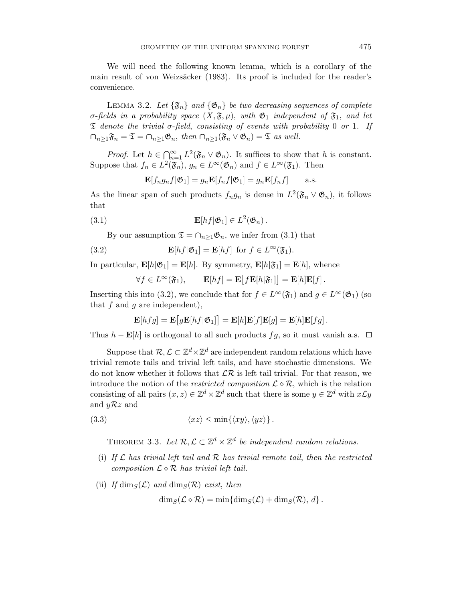We will need the following known lemma, which is a corollary of the main result of von Weizsäcker (1983). Its proof is included for the reader's convenience.

LEMMA 3.2. Let  $\{\mathfrak{F}_n\}$  and  $\{\mathfrak{G}_n\}$  be two decreasing sequences of complete *σ*-fields in a probability space  $(X, \mathfrak{F}, \mu)$ , with  $\mathfrak{G}_1$  independent of  $\mathfrak{F}_1$ , and let  $\mathfrak T$  denote the trivial  $\sigma$ -field, consisting of events with probability 0 or 1. If  $\cap_{n>1}\mathfrak{F}_n=\mathfrak{T}=\cap_{n>1}\mathfrak{G}_n, \text{ then } \cap_{n>1}(\mathfrak{F}_n\vee\mathfrak{G}_n)=\mathfrak{T} \text{ as well.}$ 

*Proof.* Let  $h \in \bigcap_{n=1}^{\infty} L^2(\mathfrak{F}_n \vee \mathfrak{G}_n)$ . It suffices to show that h is constant. Suppose that  $f_n \in L^2(\mathfrak{F}_n)$ ,  $g_n \in L^{\infty}(\mathfrak{G}_n)$  and  $f \in L^{\infty}(\mathfrak{F}_1)$ . Then

$$
\mathbf{E}[f_n g_n f | \mathfrak{G}_1] = g_n \mathbf{E}[f_n f | \mathfrak{G}_1] = g_n \mathbf{E}[f_n f] \quad \text{a.s.}
$$

As the linear span of such products  $f_n g_n$  is dense in  $L^2(\mathfrak{F}_n \vee \mathfrak{G}_n)$ , it follows that

(3.1) 
$$
\mathbf{E}[hf|\mathfrak{G}_1] \in L^2(\mathfrak{G}_n).
$$

By our assumption  $\mathfrak{T} = \cap_{n>1} \mathfrak{G}_n$ , we infer from (3.1) that

(3.2) 
$$
\mathbf{E}[hf|\mathfrak{G}_1] = \mathbf{E}[hf] \text{ for } f \in L^{\infty}(\mathfrak{F}_1).
$$

In particular,  $\mathbf{E}[h|\mathfrak{G}_1] = \mathbf{E}[h]$ . By symmetry,  $\mathbf{E}[h|\mathfrak{F}_1] = \mathbf{E}[h]$ , whence

$$
\forall f \in L^{\infty}(\mathfrak{F}_1), \qquad \mathbf{E}[hf] = \mathbf{E}\big[f\mathbf{E}[h|\mathfrak{F}_1]\big] = \mathbf{E}[h]\mathbf{E}[f].
$$

Inserting this into (3.2), we conclude that for  $f \in L^{\infty}(\mathfrak{F}_1)$  and  $g \in L^{\infty}(\mathfrak{G}_1)$  (so that *f* and *g* are independent),

$$
\mathbf{E}[hfg] = \mathbf{E}\big[g\mathbf{E}[hf|\mathfrak{G}_1]\big] = \mathbf{E}[h]\mathbf{E}[f]\mathbf{E}[g] = \mathbf{E}[h]\mathbf{E}[fg].
$$

Thus  $h$  − **E**[*h*] is orthogonal to all such products  $fg$ , so it must vanish a.s.  $\Box$ 

Suppose that  $\mathcal{R}, \mathcal{L} \subset \mathbb{Z}^d \times \mathbb{Z}^d$  are independent random relations which have trivial remote tails and trivial left tails, and have stochastic dimensions. We do not know whether it follows that  $\mathcal{LR}$  is left tail trivial. For that reason, we introduce the notion of the *restricted composition*  $\mathcal{L} \diamond \mathcal{R}$ , which is the relation consisting of all pairs  $(x, z) \in \mathbb{Z}^d \times \mathbb{Z}^d$  such that there is some  $y \in \mathbb{Z}^d$  with  $x \mathcal{L} y$ and *y*R*z* and

$$
(3.3) \t\t \langle xz \rangle \leq \min\{\langle xy \rangle, \langle yz \rangle\}.
$$

THEOREM 3.3. Let  $\mathcal{R}, \mathcal{L} \subset \mathbb{Z}^d \times \mathbb{Z}^d$  be independent random relations.

- (i) If  $\mathcal L$  has trivial left tail and  $\mathcal R$  has trivial remote tail, then the restricted composition  $\mathcal{L}\diamond\mathcal{R}$  has trivial left tail.
- (ii) If  $\dim_S(\mathcal{L})$  and  $\dim_S(\mathcal{R})$  exist, then

$$
\dim_S(\mathcal{L}\diamond\mathcal{R})=\min\{\dim_S(\mathcal{L})+\dim_S(\mathcal{R}),\,d\}.
$$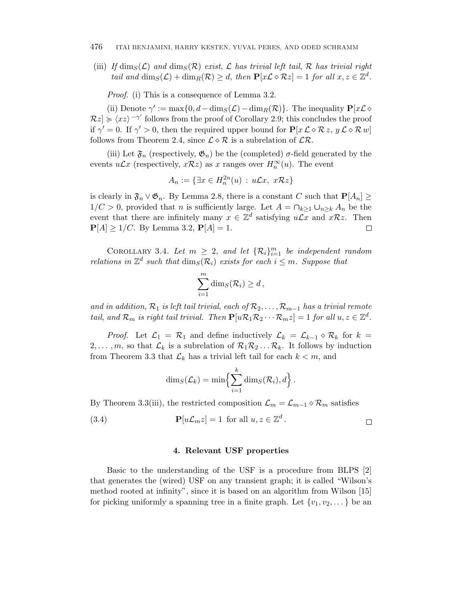#### 476 ITAI BENJAMINI, HARRY KESTEN, YUVAL PERES, AND ODED SCHRAMM

(iii) If  $\dim_S(\mathcal{L})$  and  $\dim_S(\mathcal{R})$  exist,  $\mathcal L$  has trivial left tail,  $\mathcal R$  has trivial right tail and  $\dim_S(\mathcal{L}) + \dim_R(\mathcal{R}) \geq d$ , then  $\mathbf{P}[x\mathcal{L} \diamond \mathcal{R}z] = 1$  for all  $x, z \in \mathbb{Z}^d$ .

Proof. (i) This is a consequence of Lemma 3.2.

(ii) Denote  $\gamma' := \max\{0, d - \dim(S(\mathcal{L}) - \dim(R(\mathcal{R}))\}\)$ . The inequality  $\mathbf{P}[x\mathcal{L} \diamond$  $\mathcal{R}z$   $\geq$   $\langle xz \rangle$   $\neg$ <sup>*'*</sup> follows from the proof of Corollary 2.9; this concludes the proof if  $\gamma' = 0$ . If  $\gamma' > 0$ , then the required upper bound for  $\mathbf{P}[x \mathcal{L} \diamond \mathcal{R} z, y \mathcal{L} \diamond \mathcal{R} w]$ follows from Theorem 2.4, since  $\mathcal{L} \diamond \mathcal{R}$  is a subrelation of  $\mathcal{L} \mathcal{R}$ .

(iii) Let  $\mathfrak{F}_n$  (respectively,  $\mathfrak{G}_n$ ) be the (completed)  $\sigma$ -field generated by the events  $u\mathcal{L}x$  (respectively,  $x\mathcal{R}z$ ) as  $x$  ranges over  $H_n^{\infty}(u)$ . The event

$$
A_n := \{ \exists x \in H_n^{2n}(u) : u\mathcal{L}x, x\mathcal{R}z \}
$$

is clearly in  $\mathfrak{F}_n \vee \mathfrak{G}_n$ . By Lemma 2.8, there is a constant *C* such that  $\mathbf{P}[A_n] \geq$ 1/C > 0, provided that *n* is sufficiently large. Let  $A = \bigcap_{k \geq 1} \bigcup_{n \geq k} A_n$  be the event that there are infinitely many  $x \in \mathbb{Z}^d$  satisfying  $u\mathcal{L}x$  and  $x\mathcal{R}z$ . Then  $P[A] \geq 1/C$ . By Lemma 3.2,  $P[A] = 1$ . □

COROLLARY 3.4. Let  $m \geq 2$ , and let  $\{R_i\}_{i=1}^m$  be independent random relations in  $\mathbb{Z}^d$  such that  $\dim_S(\mathcal{R}_i)$  exists for each  $i \leq m$ . Suppose that

$$
\sum_{i=1}^m \dim_S(\mathcal{R}_i) \ge d\,,
$$

and in addition,  $\mathcal{R}_1$  is left tail trivial, each of  $\mathcal{R}_2, \ldots, \mathcal{R}_{m-1}$  has a trivial remote tail, and  $\mathcal{R}_m$  is right tail trivial. Then  $\mathbf{P}[u\mathcal{R}_1\mathcal{R}_2\cdots\mathcal{R}_m z]=1$  for all  $u,z\in\mathbb{Z}^d$ .

*Proof.* Let  $\mathcal{L}_1 = \mathcal{R}_1$  and define inductively  $\mathcal{L}_k = \mathcal{L}_{k-1} \diamond \mathcal{R}_k$  for  $k =$ 2,..., m, so that  $\mathcal{L}_k$  is a subrelation of  $\mathcal{R}_1 \mathcal{R}_2 \dots \mathcal{R}_k$ . It follows by induction from Theorem 3.3 that  $\mathcal{L}_k$  has a trivial left tail for each  $k < m$ , and

$$
\dim_S(\mathcal{L}_k) = \min \Bigl\{ \sum_{i=1}^k \dim_S(\mathcal{R}_i), d \Bigr\} .
$$

By Theorem 3.3(iii), the restricted composition  $\mathcal{L}_m = \mathcal{L}_{m-1} \diamond \mathcal{R}_m$  satisfies

(3.4) 
$$
\mathbf{P}[u\mathcal{L}_m z] = 1 \text{ for all } u, z \in \mathbb{Z}^d.
$$

### **4. Relevant USF properties**

Basic to the understanding of the USF is a procedure from BLPS [2] that generates the (wired) USF on any transient graph; it is called "Wilson's method rooted at infinity", since it is based on an algorithm from Wilson [15] for picking uniformly a spanning tree in a finite graph. Let  $\{v_1, v_2, \ldots\}$  be an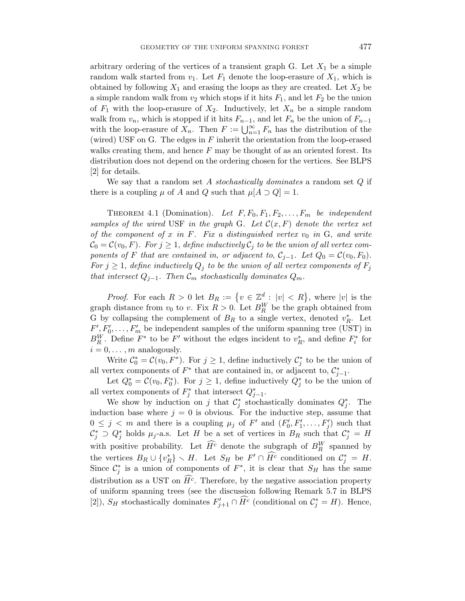arbitrary ordering of the vertices of a transient graph G. Let  $X_1$  be a simple random walk started from  $v_1$ . Let  $F_1$  denote the loop-erasure of  $X_1$ , which is obtained by following  $X_1$  and erasing the loops as they are created. Let  $X_2$  be a simple random walk from  $v_2$  which stops if it hits  $F_1$ , and let  $F_2$  be the union of  $F_1$  with the loop-erasure of  $X_2$ . Inductively, let  $X_n$  be a simple random walk from  $v_n$ , which is stopped if it hits  $F_{n-1}$ , and let  $F_n$  be the union of  $F_{n-1}$ with the loop-erasure of  $X_n$ . Then  $F := \bigcup_{n=1}^{\infty} F_n$  has the distribution of the (wired) USF on G. The edges in *F* inherit the orientation from the loop-erased walks creating them, and hence *F* may be thought of as an oriented forest. Its distribution does not depend on the ordering chosen for the vertices. See BLPS [2] for details.

We say that a random set *A* stochastically dominates a random set *Q* if there is a coupling  $\mu$  of *A* and *Q* such that  $\mu[A \supset Q] = 1$ .

THEOREM 4.1 (Domination). Let  $F, F_0, F_1, F_2, \ldots, F_m$  be independent samples of the wired USF in the graph G. Let  $\mathcal{C}(x, F)$  denote the vertex set of the component of  $x$  in  $F$ . Fix a distinguished vertex  $v_0$  in  $G$ , and write  $\mathcal{C}_0 = \mathcal{C}(v_0, F)$ . For  $j \geq 1$ , define inductively  $\mathcal{C}_j$  to be the union of all vertex components of *F* that are contained in, or adjacent to,  $C_{i-1}$ . Let  $Q_0 = C(v_0, F_0)$ . For  $j \geq 1$ , define inductively  $Q_j$  to be the union of all vertex components of  $F_j$ that intersect  $Q_{j-1}$ . Then  $\mathcal{C}_m$  stochastically dominates  $Q_m$ .

*Proof.* For each  $R > 0$  let  $B_R := \{v \in \mathbb{Z}^d : |v| < R\}$ , where  $|v|$  is the graph distance from  $v_0$  to  $v$ . Fix  $R > 0$ . Let  $B_R^W$  be the graph obtained from G by collapsing the complement of  $B_R$  to a single vertex, denoted  $v_R^*$ . Let  $F'$ , $F'_0$ ,..., $F'_m$  be independent samples of the uniform spanning tree (UST) in  $B_R^W$ . Define  $F^*$  to be  $F'$  without the edges incident to  $v_R^*$ , and define  $F_i^*$  for  $i = 0, \ldots, m$  analogously.

Write  $\mathcal{C}_0^* = \mathcal{C}(v_0, F^*)$ . For  $j \geq 1$ , define inductively  $\mathcal{C}_j^*$  to be the union of all vertex components of  $F^*$  that are contained in, or adjacent to,  $\mathcal{C}_{j-1}^*$ .

Let  $Q_0^* = \mathcal{C}(v_0, F_0^*)$ . For  $j \geq 1$ , define inductively  $Q_j^*$  to be the union of all vertex components of  $F_j^*$  that intersect  $Q_{j-1}^*$ .

We show by induction on *j* that  $\mathcal{C}^*_j$  stochastically dominates  $Q^*_j$ . The induction base where  $j = 0$  is obvious. For the inductive step, assume that  $0 \leq j \leq m$  and there is a coupling  $\mu_j$  of  $F'$  and  $(F'_0, F'_1, \ldots, F'_j)$  such that  $\mathcal{C}_j^* \supset Q_j^*$  holds  $\mu_j$ -a.s. Let *H* be a set of vertices in  $B_R$  such that  $\mathcal{C}_j^* = H$ with positive probability. Let  $\widehat{H}^c$  denote the subgraph of  $B_R^W$  spanned by the vertices  $B_R \cup \{v_R^*\} \setminus H$ . Let  $S_H$  be  $F' \cap \overline{H^c}$  conditioned on  $\mathcal{C}_j^* = H$ . Since  $\mathcal{C}_j^*$  is a union of components of  $F^*$ , it is clear that  $S_H$  has the same distribution as a UST on  $\overline{H}^c$ . Therefore, by the negative association property of uniform spanning trees (see the discussion following Remark 5.7 in BLPS [2]),  $S_H$  stochastically dominates  $F'_{j+1} \cap \overline{H}^c$  (conditional on  $C_j^* = H$ ). Hence,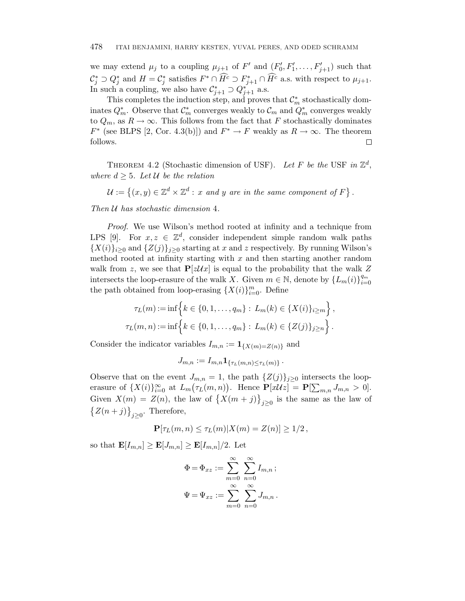we may extend  $\mu_j$  to a coupling  $\mu_{j+1}$  of  $F'$  and  $(F'_0, F'_1, \ldots, F'_{j+1})$  such that  $\mathcal{C}_j^* \supset Q_j^*$  and  $H = \mathcal{C}_j^*$  satisfies  $F^* \cap \widehat{H^c} \supset F_{j+1}^* \cap \widehat{H^c}$  a.s. with respect to  $\mu_{j+1}$ . In such a coupling, we also have  $\mathcal{C}_{j+1}^* \supset Q_{j+1}^*$  a.s.

This completes the induction step, and proves that  $\mathcal{C}_m^*$  stochastically dominates  $Q_m^*$ . Observe that  $\mathcal{C}_m^*$  converges weakly to  $\mathcal{C}_m$  and  $Q_m^*$  converges weakly to  $Q_m$ , as  $R \to \infty$ . This follows from the fact that *F* stochastically dominates *F*<sup>\*</sup> (see BLPS [2, Cor. 4.3(b)]) and  $F^* \to F$  weakly as  $R \to \infty$ . The theorem follows.  $\Box$ 

THEOREM 4.2 (Stochastic dimension of USF). Let *F* be the USF in  $\mathbb{Z}^d$ , where  $d \geq 5$ . Let U be the relation

$$
\mathcal{U} := \left\{ (x, y) \in \mathbb{Z}^d \times \mathbb{Z}^d : x \text{ and } y \text{ are in the same component of } F \right\}.
$$

Then U has stochastic dimension 4.

Proof. We use Wilson's method rooted at infinity and a technique from LPS [9]. For  $x, z \in \mathbb{Z}^d$ , consider independent simple random walk paths  ${X(i)}_{i\geq0}$  and  ${Z(j)}_{i\geq0}$  starting at *x* and *z* respectively. By running Wilson's method rooted at infinity starting with *x* and then starting another random walk from *z*, we see that  $P[zUx]$  is equal to the probability that the walk Z intersects the loop-erasure of the walk *X*. Given  $m \in \mathbb{N}$ , denote by  $\{L_m(i)\}_{i=0}^{q_m}$ the path obtained from loop-erasing  $\{X(i)\}_{i=0}^m$ . Define

$$
\tau_L(m) := \inf \Big\{ k \in \{0, 1, \dots, q_m\} : L_m(k) \in \{X(i)\}_{i \ge m} \Big\},\
$$
  

$$
\tau_L(m, n) := \inf \Big\{ k \in \{0, 1, \dots, q_m\} : L_m(k) \in \{Z(j)\}_{j \ge n} \Big\}.
$$

Consider the indicator variables  $I_{m,n} := \mathbf{1}_{\{X(m)=Z(n)\}}$  and

$$
J_{m,n} := I_{m,n} \mathbf{1}_{\{\tau_L(m,n) \leq \tau_L(m)\}}.
$$

Observe that on the event  $J_{m,n} = 1$ , the path  $\{Z(j)\}_{j\geq 0}$  intersects the looperasure of  $\{X(i)\}_{i=0}^{\infty}$  at  $L_m(\tau_L(m,n))$ . Hence  $\mathbf{P}[x\mathcal{U}z] = \mathbf{P}[\sum_{m,n} J_{m,n} > 0]$ . Given  $X(m) = Z(n)$ , the law of  $\{X(m + j)\}_{j \geq 0}$  is the same as the law of  $\{Z(n+j)\}_{j\geq 0}$ . Therefore,

$$
\mathbf{P}[\tau_L(m,n) \leq \tau_L(m)|X(m) = Z(n)] \geq 1/2,
$$

so that  $\mathbf{E}[I_{m,n}] \geq \mathbf{E}[J_{m,n}] \geq \mathbf{E}[I_{m,n}]/2$ . Let

$$
\Phi = \Phi_{xz} := \sum_{m=0}^{\infty} \sum_{n=0}^{\infty} I_{m,n} ;
$$
  

$$
\Psi = \Psi_{xz} := \sum_{m=0}^{\infty} \sum_{n=0}^{\infty} J_{m,n} .
$$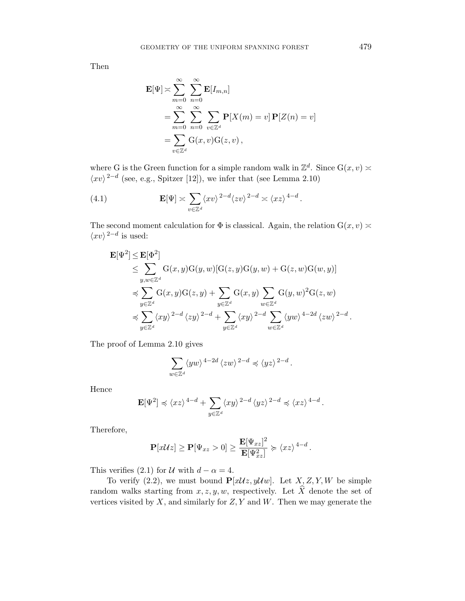Then

$$
\mathbf{E}[\Psi] \approx \sum_{m=0}^{\infty} \sum_{n=0}^{\infty} \mathbf{E}[I_{m,n}]
$$
  
= 
$$
\sum_{m=0}^{\infty} \sum_{n=0}^{\infty} \sum_{v \in \mathbb{Z}^d} \mathbf{P}[X(m) = v] \mathbf{P}[Z(n) = v]
$$
  
= 
$$
\sum_{v \in \mathbb{Z}^d} \mathbf{G}(x, v) \mathbf{G}(z, v),
$$

where G is the Green function for a simple random walk in  $\mathbb{Z}^d$ . Since  $G(x, v)$  $\langle xv \rangle^{2-d}$  (see, e.g., Spitzer [12]), we infer that (see Lemma 2.10)

(4.1) 
$$
\mathbf{E}[\Psi] \asymp \sum_{v \in \mathbb{Z}^d} \langle xv \rangle^{2-d} \langle zv \rangle^{2-d} \asymp \langle xz \rangle^{4-d}.
$$

The second moment calculation for  $\Phi$  is classical. Again, the relation  $G(x, v) \approx$  $\langle xv \rangle^{2-d}$  is used:

$$
\mathbf{E}[\Psi^2] \le \mathbf{E}[\Phi^2] \n\le \sum_{y,w \in \mathbb{Z}^d} G(x,y)G(y,w)[G(z,y)G(y,w) + G(z,w)G(w,y)] \n\preccurlyeq \sum_{y \in \mathbb{Z}^d} G(x,y)G(z,y) + \sum_{y \in \mathbb{Z}^d} G(x,y) \sum_{w \in \mathbb{Z}^d} G(y,w)^2 G(z,w) \n\preccurlyeq \sum_{y \in \mathbb{Z}^d} \langle xy \rangle^{2-d} \langle zy \rangle^{2-d} + \sum_{y \in \mathbb{Z}^d} \langle xy \rangle^{2-d} \sum_{w \in \mathbb{Z}^d} \langle yw \rangle^{4-2d} \langle zw \rangle^{2-d}.
$$

The proof of Lemma 2.10 gives

$$
\sum_{w\in\mathbb{Z}^d}\langle yw\rangle^{4-2d}\,\langle zw\rangle^{2-d}\preccurlyeq\langle yz\rangle^{2-d}\,.
$$

Hence

$$
\mathbf{E}[\Psi^2] \preccurlyeq \langle xz \rangle^{4-d} + \sum_{y \in \mathbb{Z}^d} \langle xy \rangle^{2-d} \langle yz \rangle^{2-d} \preccurlyeq \langle xz \rangle^{4-d}.
$$

Therefore,

$$
\mathbf{P}[x\mathcal{U}z] \geq \mathbf{P}[\Psi_{xz} > 0] \geq \frac{\mathbf{E}[\Psi_{xz}]^2}{\mathbf{E}[\Psi_{xz}^2]} \succcurlyeq \langle xz \rangle^{4-d}.
$$

This verifies (2.1) for  $U$  with  $d - \alpha = 4$ .

To verify (2.2), we must bound  $P[xUz, yUw]$ . Let *X*, *Z*, *Y*, *W* be simple random walks starting from  $x, z, y, w$ , respectively. Let  $\widehat{X}$  denote the set of vertices visited by *X*, and similarly for *Z, Y* and *W*. Then we may generate the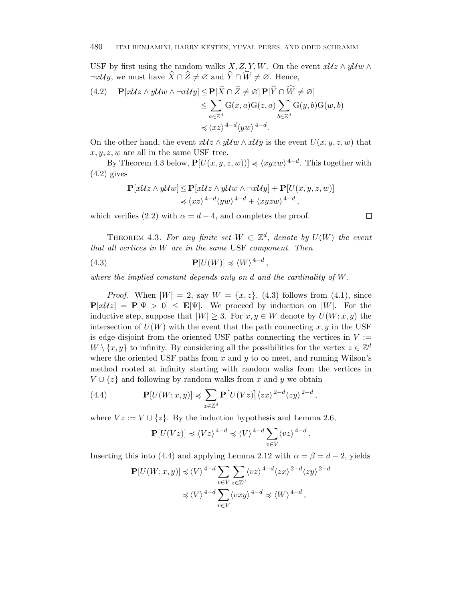USF by first using the random walks *X, Z, Y, W*. On the event  $xUz \wedge yUw \wedge$  $\neg x \mathcal{U}y$ , we must have  $X \cap Z \neq \emptyset$  and  $Y \cap W \neq \emptyset$ . Hence,

$$
(4.2) \quad \mathbf{P}[x\mathcal{U}z \wedge y\mathcal{U}w \wedge \neg x\mathcal{U}y] \le \mathbf{P}[\hat{X} \cap \hat{Z} \ne \varnothing] \mathbf{P}[\hat{Y} \cap \hat{W} \ne \varnothing] \\
\le \sum_{a \in \mathbb{Z}^d} G(x, a)G(z, a) \sum_{b \in \mathbb{Z}^d} G(y, b)G(w, b) \\
\preccurlyeq \langle xz \rangle^{4-d} \langle yw \rangle^{4-d}.
$$

On the other hand, the event  $xUz \wedge yUw \wedge xUy$  is the event  $U(x, y, z, w)$  that  $x, y, z, w$  are all in the same USF tree.

By Theorem 4.3 below,  $\mathbf{P}[U(x, y, z, w))] \preccurlyeq \langle xyzw \rangle^{4-d}$ . This together with  $(4.2)$  gives

$$
\mathbf{P}[x\mathcal{U}z \wedge y\mathcal{U}w] \le \mathbf{P}[x\mathcal{U}z \wedge y\mathcal{U}w \wedge \neg x\mathcal{U}y] + \mathbf{P}[U(x, y, z, w)]
$$
  
\$\le \langle xz \rangle^{4-d} \langle yw \rangle^{4-d} + \langle xyzw \rangle^{4-d},\$

which verifies (2.2) with  $\alpha = d - 4$ , and completes the proof.

THEOREM 4.3. For any finite set  $W \subset \mathbb{Z}^d$ , denote by  $U(W)$  the event that all vertices in *W* are in the same USF component. Then

(4.3) 
$$
\mathbf{P}[U(W)] \preccurlyeq \langle W \rangle^{4-d},
$$

where the implied constant depends only on *d* and the cardinality of *W*.

*Proof.* When  $|W| = 2$ , say  $W = \{x, z\}$ , (4.3) follows from (4.1), since  $P[xUz] = P[\Psi > 0] \leq E[\Psi]$ . We proceed by induction on |W|. For the inductive step, suppose that  $|W| \geq 3$ . For  $x, y \in W$  denote by  $U(W; x, y)$  the intersection of  $U(W)$  with the event that the path connecting  $x, y$  in the USF is edge-disjoint from the oriented USF paths connecting the vertices in  $V :=$  $W \setminus \{x, y\}$  to infinity. By considering all the possibilities for the vertex  $z \in \mathbb{Z}^d$ where the oriented USF paths from  $x$  and  $y$  to  $\infty$  meet, and running Wilson's method rooted at infinity starting with random walks from the vertices in  $V \cup \{z\}$  and following by random walks from *x* and *y* we obtain

(4.4) 
$$
\mathbf{P}[U(W;x,y)] \preccurlyeq \sum_{z \in \mathbb{Z}^d} \mathbf{P}[U(Vz)] \langle zx \rangle^{2-d} \langle zy \rangle^{2-d},
$$

where  $Vz := V \cup \{z\}$ . By the induction hypothesis and Lemma 2.6,

$$
\mathbf{P}[U(Vz)] \preccurlyeq \langle Vz \rangle^{4-d} \preccurlyeq \langle V \rangle^{4-d} \sum_{v \in V} \langle vz \rangle^{4-d}.
$$

Inserting this into (4.4) and applying Lemma 2.12 with  $\alpha = \beta = d - 2$ , yields

$$
\mathbf{P}[U(W;x,y)] \preccurlyeq \langle V \rangle^{4-d} \sum_{v \in V} \sum_{z \in \mathbb{Z}^d} \langle vz \rangle^{4-d} \langle zx \rangle^{2-d} \langle zy \rangle^{2-d}
$$

$$
\preccurlyeq \langle V \rangle^{4-d} \sum_{v \in V} \langle vxy \rangle^{4-d} \preccurlyeq \langle W \rangle^{4-d},
$$

 $\Box$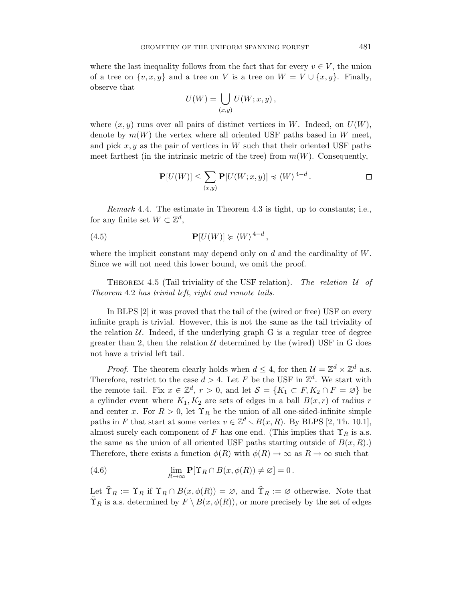where the last inequality follows from the fact that for every  $v \in V$ , the union of a tree on  $\{v, x, y\}$  and a tree on *V* is a tree on  $W = V \cup \{x, y\}$ . Finally, observe that

$$
U(W) = \bigcup_{(x,y)} U(W; x, y) ,
$$

where  $(x, y)$  runs over all pairs of distinct vertices in *W*. Indeed, on  $U(W)$ , denote by  $m(W)$  the vertex where all oriented USF paths based in *W* meet, and pick  $x, y$  as the pair of vertices in  $W$  such that their oriented USF paths meet farthest (in the intrinsic metric of the tree) from  $m(W)$ . Consequently,

$$
\mathbf{P}[U(W)] \le \sum_{(x,y)} \mathbf{P}[U(W; x, y)] \preccurlyeq \langle W \rangle^{4-d}.
$$

Remark 4.4. The estimate in Theorem 4.3 is tight, up to constants; i.e., for any finite set  $W \subset \mathbb{Z}^d$ ,

(4.5) 
$$
\mathbf{P}[U(W)] \succcurlyeq \langle W \rangle^{4-d},
$$

where the implicit constant may depend only on *d* and the cardinality of *W*. Since we will not need this lower bound, we omit the proof.

THEOREM 4.5 (Tail triviality of the USF relation). The relation  $U$  of Theorem 4.2 has trivial left, right and remote tails.

In BLPS [2] it was proved that the tail of the (wired or free) USF on every infinite graph is trivial. However, this is not the same as the tail triviality of the relation  $U$ . Indeed, if the underlying graph G is a regular tree of degree greater than 2, then the relation  $U$  determined by the (wired) USF in G does not have a trivial left tail.

*Proof.* The theorem clearly holds when  $d \leq 4$ , for then  $\mathcal{U} = \mathbb{Z}^d \times \mathbb{Z}^d$  a.s. Therefore, restrict to the case  $d > 4$ . Let F be the USF in  $\mathbb{Z}^d$ . We start with the remote tail. Fix  $x \in \mathbb{Z}^d$ ,  $r > 0$ , and let  $\mathcal{S} = \{K_1 \subset F, K_2 \cap F = \emptyset\}$  be a cylinder event where  $K_1, K_2$  are sets of edges in a ball  $B(x, r)$  of radius *r* and center *x*. For  $R > 0$ , let  $\Upsilon_R$  be the union of all one-sided-infinite simple paths in *F* that start at some vertex  $v \in \mathbb{Z}^d \setminus B(x, R)$ . By BLPS [2, Th. 10.1], almost surely each component of *F* has one end. (This implies that  $\Upsilon_R$  is a.s. the same as the union of all oriented USF paths starting outside of  $B(x, R)$ .) Therefore, there exists a function  $\phi(R)$  with  $\phi(R) \to \infty$  as  $R \to \infty$  such that

(4.6) 
$$
\lim_{R \to \infty} \mathbf{P}[\Upsilon_R \cap B(x, \phi(R)) \neq \varnothing] = 0.
$$

Let  $\tilde{\Upsilon}_R := \Upsilon_R$  if  $\Upsilon_R \cap B(x, \phi(R)) = \varnothing$ , and  $\tilde{\Upsilon}_R := \varnothing$  otherwise. Note that  $\Upsilon_R$  is a.s. determined by  $F \setminus B(x, \phi(R))$ , or more precisely by the set of edges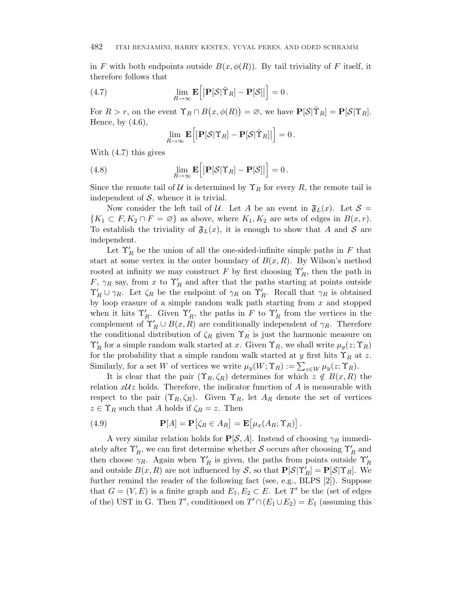in *F* with both endpoints outside  $B(x, \phi(R))$ . By tail triviality of *F* itself, it therefore follows that

(4.7) 
$$
\lim_{R \to \infty} \mathbf{E}\Big[ \big| \mathbf{P}[\mathcal{S} | \tilde{\Upsilon}_R] - \mathbf{P}[\mathcal{S}] \big| \Big] = 0.
$$

For  $R > r$ , on the event  $\Upsilon_R \cap B(x, \phi(R)) = \varnothing$ , we have  $\mathbf{P}[\mathcal{S} | \tilde{\Upsilon}_R] = \mathbf{P}[\mathcal{S} | \Upsilon_R].$ Hence, by  $(4.6)$ ,

$$
\lim_{R\to\infty} \mathbf{E}\Big[\big|\mathbf{P}[\mathcal{S}|\Upsilon_R] - \mathbf{P}[\mathcal{S}|\tilde{\Upsilon}_R]\big|\Big] = 0.
$$

With (4.7) this gives

(4.8) 
$$
\lim_{R \to \infty} \mathbf{E} \Big[ \big| \mathbf{P}[\mathcal{S} | \Upsilon_R] - \mathbf{P}[\mathcal{S}] \big| \Big] = 0.
$$

Since the remote tail of U is determined by  $\Upsilon_R$  for every R, the remote tail is independent of  $S$ , whence it is trivial.

Now consider the left tail of U. Let A be an event in  $\mathfrak{F}_L(x)$ . Let  $\mathcal{S} =$  ${K_1 \subset F, K_2 \cap F = \emptyset}$  as above, where  $K_1, K_2$  are sets of edges in  $B(x, r)$ . To establish the triviality of  $\mathfrak{F}_L(x)$ , it is enough to show that *A* and *S* are independent.

Let  $\Upsilon'_R$  be the union of all the one-sided-infinite simple paths in  $F$  that start at some vertex in the outer boundary of  $B(x, R)$ . By Wilson's method rooted at infinity we may construct  $F$  by first choosing  $\Upsilon'_R$ , then the path in *F*,  $\gamma_R$  say, from *x* to  $\Upsilon'_R$  and after that the paths starting at points outside  $\Upsilon'_R \cup \gamma_R$ . Let  $\zeta_R$  be the endpoint of  $\gamma_R$  on  $\Upsilon'_R$ . Recall that  $\gamma_R$  is obtained by loop erasure of a simple random walk path starting from *x* and stopped when it hits  $\Upsilon'_R$ . Given  $\Upsilon'_R$ , the paths in *F* to  $\Upsilon'_R$  from the vertices in the complement of  $\Upsilon'_R \cup B(x, R)$  are conditionally independent of  $\gamma_R$ . Therefore the conditional distribution of  $\zeta_R$  given  $\Upsilon_R$  is just the harmonic measure on  $\Upsilon'_R$  for a simple random walk started at *x*. Given  $\Upsilon_R$ , we shall write  $\mu_y(z; \Upsilon_R)$ for the probability that a simple random walk started at *y* first hits  $\Upsilon_R$  at *z*. Similarly, for a set *W* of vertices we write  $\mu_y(W; \Upsilon_R) := \sum_{z \in W} \mu_y(z; \Upsilon_R)$ .

It is clear that the pair  $(\Upsilon_R, \zeta_R)$  determines for which  $z \notin B(x, R)$  the relation  $xUz$  holds. Therefore, the indicator function of  $A$  is measurable with respect to the pair  $(\Upsilon_R, \zeta_R)$ . Given  $\Upsilon_R$ , let  $A_R$  denote the set of vertices  $z \in \Upsilon_R$  such that *A* holds if  $\zeta_R = z$ . Then

(4.9) 
$$
\mathbf{P}[A] = \mathbf{P}[\zeta_R \in A_R] = \mathbf{E}[\mu_x(A_R; \Upsilon_R)].
$$

A very similar relation holds for  $P[\mathcal{S}, A]$ . Instead of choosing  $\gamma_R$  immediately after  $\Upsilon_R'$ , we can first determine whether  $\mathcal S$  occurs after choosing  $\Upsilon_R'$  and then choose  $\gamma_R$ . Again when  $\Upsilon'_R$  is given, the paths from points outside  $\Upsilon'_R$ and outside  $B(x, R)$  are not influenced by S, so that  $P[\mathcal{S} | \Upsilon_R'] = P[\mathcal{S} | \Upsilon_R]$ . We further remind the reader of the following fact (see, e.g., BLPS [2]). Suppose that  $G = (V, E)$  is a finite graph and  $E_1, E_2 \subset E$ . Let  $T'$  be the (set of edges of the) UST in G. Then *T'*, conditioned on  $T' \cap (E_1 \cup E_2) = E_1$  (assuming this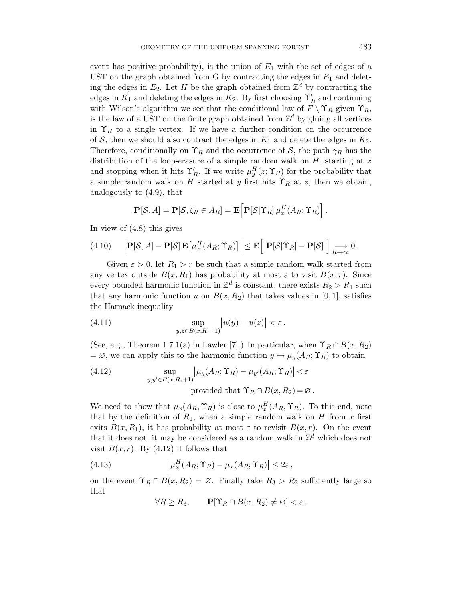event has positive probability), is the union of  $E_1$  with the set of edges of a UST on the graph obtained from G by contracting the edges in  $E_1$  and deleting the edges in  $E_2$ . Let *H* be the graph obtained from  $\mathbb{Z}^d$  by contracting the edges in  $K_1$  and deleting the edges in  $K_2$ . By first choosing  $\Upsilon'_R$  and continuing with Wilson's algorithm we see that the conditional law of  $F \setminus \Upsilon_R$  given  $\Upsilon_R$ , is the law of a UST on the finite graph obtained from  $\mathbb{Z}^d$  by gluing all vertices in  $\Upsilon_R$  to a single vertex. If we have a further condition on the occurrence of  $S$ , then we should also contract the edges in  $K_1$  and delete the edges in  $K_2$ . Therefore, conditionally on  $\Upsilon_R$  and the occurrence of S, the path  $\gamma_R$  has the distribution of the loop-erasure of a simple random walk on *H*, starting at *x* and stopping when it hits  $\Upsilon'_R$ . If we write  $\mu_y^H(z; \Upsilon_R)$  for the probability that a simple random walk on *H* started at *y* first hits  $\Upsilon_R$  at *z*, then we obtain, analogously to (4.9), that

$$
\mathbf{P}[\mathcal{S}, A] = \mathbf{P}[\mathcal{S}, \zeta_R \in A_R] = \mathbf{E} \Big[ \mathbf{P}[\mathcal{S} | \Upsilon_R] \mu_x^H(A_R; \Upsilon_R) \Big].
$$

In view of (4.8) this gives

(4.10) 
$$
\left| \mathbf{P}[\mathcal{S}, A] - \mathbf{P}[\mathcal{S}] \mathbf{E} \left[ \mu_x^H(A_R; \Upsilon_R) \right] \right| \leq \mathbf{E} \left[ \left| \mathbf{P}[\mathcal{S} | \Upsilon_R] - \mathbf{P}[\mathcal{S}] \right| \right] \underset{R \to \infty}{\longrightarrow} 0.
$$

Given  $\varepsilon > 0$ , let  $R_1 > r$  be such that a simple random walk started from any vertex outside  $B(x, R_1)$  has probability at most  $\varepsilon$  to visit  $B(x, r)$ . Since every bounded harmonic function in  $\mathbb{Z}^d$  is constant, there exists  $R_2 > R_1$  such that any harmonic function *u* on  $B(x, R_2)$  that takes values in [0, 1], satisfies the Harnack inequality

(4.11) 
$$
\sup_{y,z\in B(x,R_1+1)}|u(y)-u(z)|<\varepsilon.
$$

(See, e.g., Theorem 1.7.1(a) in Lawler [7].) In particular, when  $\Upsilon_R \cap B(x, R_2)$  $= \emptyset$ , we can apply this to the harmonic function  $y \mapsto \mu_y(A_R; \Upsilon_R)$  to obtain

(4.12) 
$$
\sup_{y,y'\in B(x,R_1+1)} \left|\mu_y(A_R; \Upsilon_R) - \mu_{y'}(A_R; \Upsilon_R)\right| < \varepsilon
$$
  
provided that  $\Upsilon_R \cap B(x,R_2) = \varnothing$ 

We need to show that  $\mu_x(A_R, \Upsilon_R)$  is close to  $\mu_x^H(A_R, \Upsilon_R)$ . To this end, note that by the definition of  $R_1$ , when a simple random walk on  $H$  from  $x$  first exits  $B(x, R_1)$ , it has probability at most  $\varepsilon$  to revisit  $B(x, r)$ . On the event that it does not, it may be considered as a random walk in  $\mathbb{Z}^d$  which does not visit  $B(x, r)$ . By (4.12) it follows that

(4.13) 
$$
\left|\mu_x^H(A_R; \Upsilon_R) - \mu_x(A_R; \Upsilon_R)\right| \leq 2\varepsilon,
$$

on the event  $\Upsilon_R \cap B(x, R_2) = \emptyset$ . Finally take  $R_3 > R_2$  sufficiently large so that

$$
\forall R \geq R_3, \qquad \mathbf{P}[\Upsilon_R \cap B(x, R_2) \neq \varnothing] < \varepsilon.
$$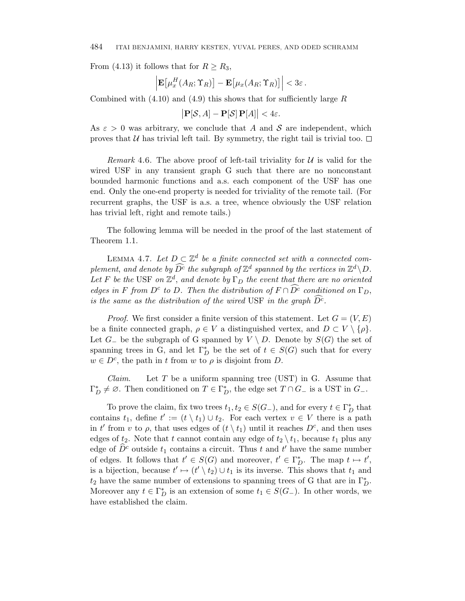From (4.13) it follows that for  $R \geq R_3$ ,

$$
\left| \mathbf{E}\big[\mu_x^H(A_R; \Upsilon_R) \big] - \mathbf{E}\big[\mu_x(A_R; \Upsilon_R) \big] \right| < 3\varepsilon.
$$

Combined with (4.10) and (4.9) this shows that for sufficiently large *R*

$$
\big|\mathbf{P}[\mathcal{S},A]-\mathbf{P}[\mathcal{S}]\,\mathbf{P}[A]\big|<4\varepsilon.
$$

As  $\varepsilon > 0$  was arbitrary, we conclude that A and S are independent, which proves that U has trivial left tail. By symmetry, the right tail is trivial too.  $\Box$ 

Remark 4.6. The above proof of left-tail triviality for  $\mathcal U$  is valid for the wired USF in any transient graph G such that there are no nonconstant bounded harmonic functions and a.s. each component of the USF has one end. Only the one-end property is needed for triviality of the remote tail. (For recurrent graphs, the USF is a.s. a tree, whence obviously the USF relation has trivial left, right and remote tails.)

The following lemma will be needed in the proof of the last statement of Theorem 1.1.

LEMMA 4.7. Let  $D \subset \mathbb{Z}^d$  be a finite connected set with a connected complement, and denote by  $\widehat{D^c}$  the subgraph of  $\mathbb{Z}^d$  spanned by the vertices in  $\mathbb{Z}^d \setminus D$ . Let *F* be the USF on  $\mathbb{Z}^d$ , and denote by  $\Gamma_D$  the event that there are no oriented edges in *F* from  $D^c$  to *D*. Then the distribution of  $F \cap \widehat{D^c}$  conditioned on  $\Gamma_D$ , is the same as the distribution of the wired USF in the graph  $\overline{D}^{\tilde{c}}$ .

*Proof.* We first consider a finite version of this statement. Let  $G = (V, E)$ be a finite connected graph,  $\rho \in V$  a distinguished vertex, and  $D \subset V \setminus {\rho}$ . Let  $G_$  be the subgraph of G spanned by  $V \setminus D$ . Denote by  $S(G)$  the set of spanning trees in G, and let  $\Gamma_D^*$  be the set of  $t \in S(G)$  such that for every  $w \in D^c$ , the path in *t* from *w* to  $\rho$  is disjoint from *D*.

Claim. Let *T* be a uniform spanning tree (UST) in G. Assume that  $\Gamma_D^* \neq \emptyset$ . Then conditioned on  $T \in \Gamma_D^*$ , the edge set  $T \cap G_{-}$  is a UST in  $G_{-}$ .

To prove the claim, fix two trees  $t_1, t_2 \in S(G_{-})$ , and for every  $t \in \Gamma_D^*$  that contains  $t_1$ , define  $t' := (t \setminus t_1) \cup t_2$ . For each vertex  $v \in V$  there is a path in *t'* from *v* to  $\rho$ , that uses edges of  $(t \setminus t_1)$  until it reaches  $D^c$ , and then uses edges of  $t_2$ . Note that *t* cannot contain any edge of  $t_2 \setminus t_1$ , because  $t_1$  plus any edge of  $\widehat{D}^c$  outside  $t_1$  contains a circuit. Thus  $t$  and  $t'$  have the same number of edges. It follows that  $t' \in S(G)$  and moreover,  $t' \in \Gamma_D^*$ . The map  $t \mapsto t'$ , is a bijection, because  $t' \mapsto (t' \setminus t_2) \cup t_1$  is its inverse. This shows that  $t_1$  and  $t_2$  have the same number of extensions to spanning trees of G that are in  $\Gamma_D^*$ . Moreover any  $t \in \Gamma_D^*$  is an extension of some  $t_1 \in S(G)$ . In other words, we have established the claim.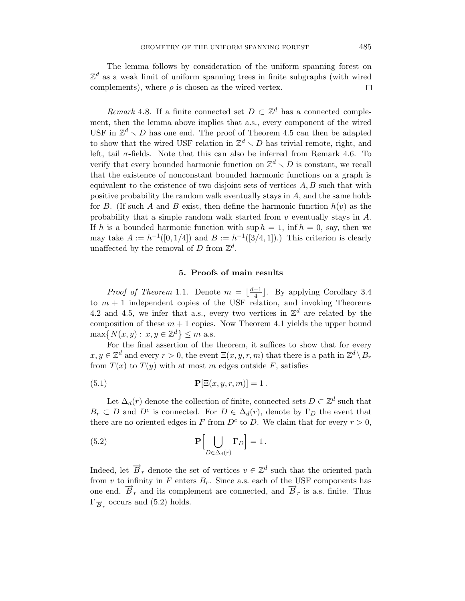The lemma follows by consideration of the uniform spanning forest on  $\mathbb{Z}^d$  as a weak limit of uniform spanning trees in finite subgraphs (with wired complements), where  $\rho$  is chosen as the wired vertex. □

*Remark* 4.8. If a finite connected set  $D \subset \mathbb{Z}^d$  has a connected complement, then the lemma above implies that a.s., every component of the wired USF in  $\mathbb{Z}^d \setminus D$  has one end. The proof of Theorem 4.5 can then be adapted to show that the wired USF relation in  $\mathbb{Z}^d \setminus D$  has trivial remote, right, and left, tail  $\sigma$ -fields. Note that this can also be inferred from Remark 4.6. To verify that every bounded harmonic function on  $\mathbb{Z}^d \setminus D$  is constant, we recall that the existence of nonconstant bounded harmonic functions on a graph is equivalent to the existence of two disjoint sets of vertices *A, B* such that with positive probability the random walk eventually stays in *A*, and the same holds for *B*. (If such *A* and *B* exist, then define the harmonic function  $h(v)$  as the probability that a simple random walk started from *v* eventually stays in *A*. If *h* is a bounded harmonic function with  $\sup h = 1$ ,  $\inf h = 0$ , say, then we may take  $A := h^{-1}([0, 1/4])$  and  $B := h^{-1}([3/4, 1])$ .) This criterion is clearly unaffected by the removal of *D* from  $\mathbb{Z}^d$ .

#### **5. Proofs of main results**

*Proof of Theorem* 1.1. Denote  $m = \lfloor \frac{d-1}{4} \rfloor$ . By applying Corollary 3.4 to  $m + 1$  independent copies of the USF relation, and invoking Theorems 4.2 and 4.5, we infer that a.s., every two vertices in  $\mathbb{Z}^d$  are related by the composition of these  $m + 1$  copies. Now Theorem 4.1 yields the upper bound  $\max\{N(x,y): x,y \in \mathbb{Z}^d\} \leq m$  a.s.

For the final assertion of the theorem, it suffices to show that for every  $x, y \in \mathbb{Z}^d$  and every  $r > 0$ , the event  $\Xi(x, y, r, m)$  that there is a path in  $\mathbb{Z}^d \setminus B_r$ from  $T(x)$  to  $T(y)$  with at most *m* edges outside *F*, satisfies

(5.1) 
$$
\mathbf{P}[\Xi(x, y, r, m)] = 1.
$$

Let  $\Delta_d(r)$  denote the collection of finite, connected sets  $D \subset \mathbb{Z}^d$  such that  $B_r \subset D$  and  $D^c$  is connected. For  $D \in \Delta_d(r)$ , denote by  $\Gamma_D$  the event that there are no oriented edges in *F* from  $D^c$  to *D*. We claim that for every  $r > 0$ ,

(5.2) 
$$
\mathbf{P}\Big[\bigcup_{D\in\Delta_d(r)}\Gamma_D\Big]=1.
$$

Indeed, let  $\overrightarrow{B}_r$  denote the set of vertices  $v \in \mathbb{Z}^d$  such that the oriented path from *v* to infinity in *F* enters  $B_r$ . Since a.s. each of the USF components has one end,  $\overline{B}_r$  and its complement are connected, and  $\overline{B}_r$  is a.s. finite. Thus  $\Gamma_{\overrightarrow{B}}$  occurs and (5.2) holds.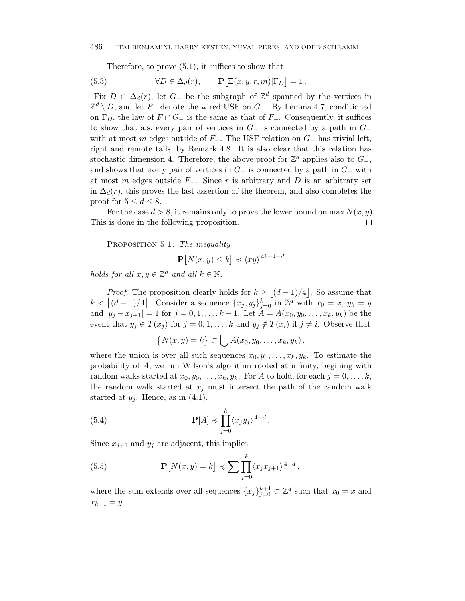Therefore, to prove (5.1), it suffices to show that

(5.3) 
$$
\forall D \in \Delta_d(r), \qquad \mathbf{P} \big[ \Xi(x, y, r, m) | \Gamma_D \big] = 1.
$$

Fix  $D \in \Delta_d(r)$ , let  $G_{-}$  be the subgraph of  $\mathbb{Z}^d$  spanned by the vertices in Z<sup>d</sup> \ *D*, and let *F*<sup>−</sup> denote the wired USF on *G*−. By Lemma 4.7, conditioned on  $\Gamma_D$ , the law of  $F \cap G_-\$  is the same as that of  $F_-\$ . Consequently, it suffices to show that a.s. every pair of vertices in *G*<sup>−</sup> is connected by a path in *G*<sup>−</sup> with at most *m* edges outside of *F*−. The USF relation on *G*<sup>−</sup> has trivial left, right and remote tails, by Remark 4.8. It is also clear that this relation has stochastic dimension 4. Therefore, the above proof for  $\mathbb{Z}^d$  applies also to  $G_-,$ and shows that every pair of vertices in  $G_-\$  is connected by a path in  $G_-\$  with at most *m* edges outside *F*−. Since *r* is arbitrary and *D* is an arbitrary set in  $\Delta_d(r)$ , this proves the last assertion of the theorem, and also completes the proof for  $5 \leq d \leq 8$ .

For the case  $d > 8$ , it remains only to prove the lower bound on max  $N(x, y)$ . This is done in the following proposition.  $\Box$ 

PROPOSITION 5.1. The inequality

$$
\mathbf{P}[N(x,y) \le k] \preccurlyeq \langle xy \rangle^{4k+4-d}
$$

holds for all  $x, y \in \mathbb{Z}^d$  and all  $k \in \mathbb{N}$ .

*Proof.* The proposition clearly holds for  $k \geq |(d-1)/4|$ . So assume that  $k < \lfloor (d-1)/4 \rfloor$ . Consider a sequence  $\{x_j, y_j\}_{j=0}^k$  in  $\mathbb{Z}^d$  with  $x_0 = x, y_k = y$ and  $|y_j - x_{j+1}| = 1$  for  $j = 0, 1, ..., k-1$ . Let  $A = A(x_0, y_0, ..., x_k, y_k)$  be the event that  $y_j \in T(x_j)$  for  $j = 0, 1, \ldots, k$  and  $y_j \notin T(x_i)$  if  $j \neq i$ . Observe that

$$
\{N(x,y)=k\}\subset \bigcup A(x_0,y_0,\ldots,x_k,y_k)\,
$$

where the union is over all such sequences  $x_0, y_0, \ldots, x_k, y_k$ . To estimate the probability of *A*, we run Wilson's algorithm rooted at infinity, begining with random walks started at  $x_0, y_0, \ldots, x_k, y_k$ . For *A* to hold, for each  $j = 0, \ldots, k$ , the random walk started at  $x_j$  must intersect the path of the random walk started at  $y_j$ . Hence, as in  $(4.1)$ ,

(5.4) 
$$
\mathbf{P}[A] \preccurlyeq \prod_{j=0}^{k} \langle x_j y_j \rangle^{4-d}.
$$

Since  $x_{j+1}$  and  $y_j$  are adjacent, this implies

(5.5) 
$$
\mathbf{P}[N(x,y) = k] \preccurlyeq \sum \prod_{j=0}^{k} \langle x_j x_{j+1} \rangle^{4-d},
$$

where the sum extends over all sequences  $\{x_j\}_{j=0}^{k+1} \subset \mathbb{Z}^d$  such that  $x_0 = x$  and  $x_{k+1} = y$ .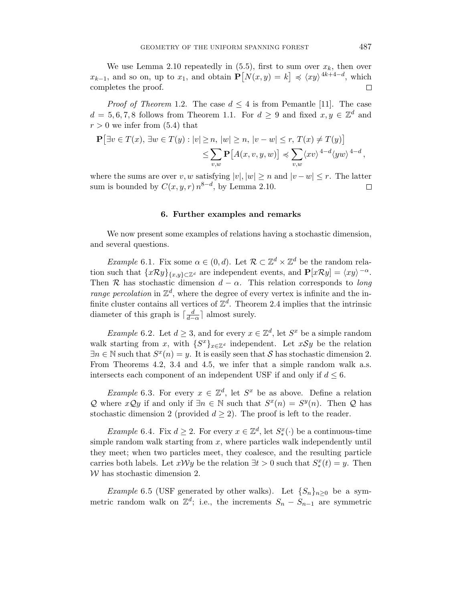We use Lemma 2.10 repeatedly in  $(5.5)$ , first to sum over  $x_k$ , then over *x<sub>k−1</sub>*, and so on, up to *x*<sub>1</sub>, and obtain  $P[N(x,y) = k]$   $\leq$   $\langle xy \rangle$ <sup>4k+4−d</sup>, which completes the proof. П

*Proof of Theorem* 1.2. The case  $d \leq 4$  is from Pemantle [11]. The case  $d = 5, 6, 7, 8$  follows from Theorem 1.1. For  $d \geq 9$  and fixed  $x, y \in \mathbb{Z}^d$  and  $r > 0$  we infer from  $(5.4)$  that

$$
\mathbf{P} \left[ \exists v \in T(x), \, \exists w \in T(y) : |v| \ge n, \, |w| \ge n, \, |v - w| \le r, \, T(x) \ne T(y) \right] \le \sum_{v,w} \mathbf{P} \left[ A(x,v,y,w) \right] \preccurlyeq \sum_{v,w} \langle xv \rangle^{4-d} \langle yw \rangle^{4-d},
$$

where the sums are over *v*, *w* satisfying  $|v|, |w| \geq n$  and  $|v - w| \leq r$ . The latter sum is bounded by  $C(x, y, r) n^{8-d}$ , by Lemma 2.10.  $\Box$ 

#### **6. Further examples and remarks**

We now present some examples of relations having a stochastic dimension, and several questions.

*Example* 6.1. Fix some  $\alpha \in (0, d)$ . Let  $\mathcal{R} \subset \mathbb{Z}^d \times \mathbb{Z}^d$  be the random relation such that  $\{x\mathcal{R}y\}_{\{x,y\}\subset\mathbb{Z}^d}$  are independent events, and  $\mathbf{P}[x\mathcal{R}y] = \langle xy \rangle^{-\alpha}$ . Then R has stochastic dimension  $d - \alpha$ . This relation corresponds to *long* range percolation in  $\mathbb{Z}^d$ , where the degree of every vertex is infinite and the infinite cluster contains all vertices of  $\mathbb{Z}^d$ . Theorem 2.4 implies that the intrinsic diameter of this graph is  $\lceil \frac{d}{d-\alpha} \rceil$  almost surely.

*Example* 6.2. Let  $d \geq 3$ , and for every  $x \in \mathbb{Z}^d$ , let  $S^x$  be a simple random walk starting from *x*, with  ${S^x}_{x \in \mathbb{Z}^d}$  independent. Let  $xSy$  be the relation  $\exists n \in \mathbb{N}$  such that  $S^x(n) = y$ . It is easily seen that S has stochastic dimension 2. From Theorems 4.2, 3.4 and 4.5, we infer that a simple random walk a.s. intersects each component of an independent USF if and only if  $d \leq 6$ .

*Example* 6.3. For every  $x \in \mathbb{Z}^d$ , let  $S^x$  be as above. Define a relation Q where *x*Q*y* if and only if ∃*n* ∈ N such that  $S^x(n) = S^y(n)$ . Then Q has stochastic dimension 2 (provided  $d \geq 2$ ). The proof is left to the reader.

*Example* 6.4. Fix  $d \geq 2$ . For every  $x \in \mathbb{Z}^d$ , let  $S^x_*(\cdot)$  be a continuous-time simple random walk starting from *x*, where particles walk independently until they meet; when two particles meet, they coalesce, and the resulting particle carries both labels. Let  $x \mathcal{W} y$  be the relation  $\exists t > 0$  such that  $S_*^x(t) = y$ . Then W has stochastic dimension 2.

*Example* 6.5 (USF generated by other walks). Let  ${S_n}_{n>0}$  be a symmetric random walk on  $\mathbb{Z}^d$ ; i.e., the increments  $S_n - S_{n-1}$  are symmetric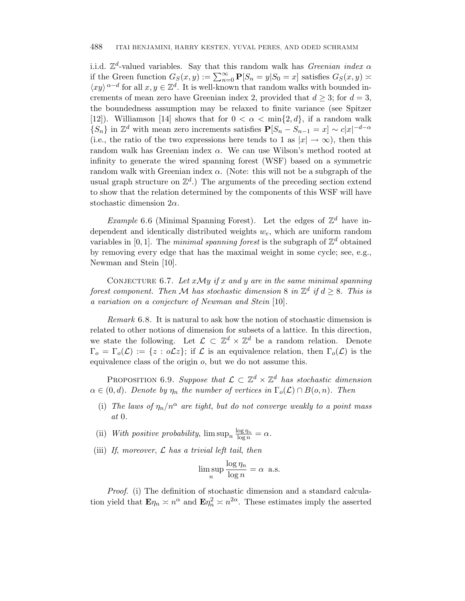i.i.d.  $\mathbb{Z}^d$ -valued variables. Say that this random walk has *Greenian index*  $\alpha$ if the Green function  $G_S(x, y) := \sum_{n=0}^{\infty} P[S_n = y | S_0 = x]$  satisfies  $G_S(x, y) \approx$  $\langle xy \rangle^{\alpha-d}$  for all  $x, y \in \mathbb{Z}^d$ . It is well-known that random walks with bounded increments of mean zero have Greenian index 2, provided that  $d \geq 3$ ; for  $d = 3$ , the boundedness assumption may be relaxed to finite variance (see Spitzer [12]). Williamson [14] shows that for  $0 < \alpha < \min\{2, d\}$ , if a random walk  ${S_n}$  in  $\mathbb{Z}^d$  with mean zero increments satisfies  $P[S_n - S_{n-1} = x] \sim c|x|^{-d-\alpha}$ (i.e., the ratio of the two expressions here tends to 1 as  $|x| \to \infty$ ), then this random walk has Greenian index *α*. We can use Wilson's method rooted at infinity to generate the wired spanning forest (WSF) based on a symmetric random walk with Greenian index  $\alpha$ . (Note: this will not be a subgraph of the usual graph structure on  $\mathbb{Z}^d$ .) The arguments of the preceding section extend to show that the relation determined by the components of this WSF will have stochastic dimension 2*α*.

Example 6.6 (Minimal Spanning Forest). Let the edges of  $\mathbb{Z}^d$  have independent and identically distributed weights *w*e, which are uniform random variables in [0, 1]. The *minimal spanning forest* is the subgraph of  $\mathbb{Z}^d$  obtained by removing every edge that has the maximal weight in some cycle; see, e.g., Newman and Stein [10].

CONJECTURE 6.7. Let  $xMy$  if  $x$  and  $y$  are in the same minimal spanning forest component. Then M has stochastic dimension 8 in  $\mathbb{Z}^d$  if  $d \geq 8$ . This is a variation on a conjecture of Newman and Stein [10].

Remark 6.8. It is natural to ask how the notion of stochastic dimension is related to other notions of dimension for subsets of a lattice. In this direction, we state the following. Let  $\mathcal{L} \subset \mathbb{Z}^d \times \mathbb{Z}^d$  be a random relation. Denote  $\Gamma_o = \Gamma_o(\mathcal{L}) := \{z : o\mathcal{L}z\};$  if  $\mathcal L$  is an equivalence relation, then  $\Gamma_o(\mathcal{L})$  is the equivalence class of the origin *o*, but we do not assume this.

PROPOSITION 6.9. Suppose that  $\mathcal{L} \subset \mathbb{Z}^d \times \mathbb{Z}^d$  has stochastic dimension  $\alpha \in (0, d)$ . Denote by  $\eta_n$  the number of vertices in  $\Gamma_o(\mathcal{L}) \cap B(o, n)$ . Then

(i) The laws of  $\eta_n/n^{\alpha}$  are tight, but do not converge weakly to a point mass at 0.

(ii) With positive probability,  $\limsup_n \frac{\log \eta_n}{\log n} = \alpha$ .

(iii) If, moreover,  $\mathcal L$  has a trivial left tail, then

$$
\limsup_{n} \frac{\log \eta_n}{\log n} = \alpha \text{ a.s.}
$$

Proof. (i) The definition of stochastic dimension and a standard calculation yield that  $\mathbf{E}\eta_n \approx n^{\alpha}$  and  $\mathbf{E}\eta_n^2 \approx n^{2\alpha}$ . These estimates imply the asserted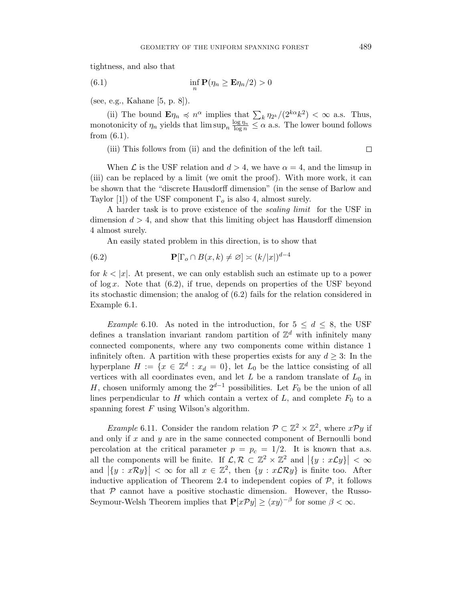tightness, and also that

(6.1) 
$$
\inf_{n} \mathbf{P}(\eta_n \ge \mathbf{E}\eta_n/2) > 0
$$

(see, e.g., Kahane [5, p. 8]).

(ii) The bound  $\mathbf{E}\eta_n \preccurlyeq n^{\alpha}$  implies that  $\sum_{k} \eta_{2^k} / (2^{k\alpha} k^2) < \infty$  a.s. Thus, monotonicity of  $\eta_n$  yields that  $\limsup_n \frac{\log \eta_n}{\log n} \leq \alpha$  a.s. The lower bound follows from (6.1).

(iii) This follows from (ii) and the definition of the left tail.

When  $\mathcal L$  is the USF relation and  $d > 4$ , we have  $\alpha = 4$ , and the limsup in (iii) can be replaced by a limit (we omit the proof). With more work, it can be shown that the "discrete Hausdorff dimension" (in the sense of Barlow and Taylor [1]) of the USF component  $\Gamma_o$  is also 4, almost surely.

A harder task is to prove existence of the scaling limit for the USF in dimension  $d > 4$ , and show that this limiting object has Hausdorff dimension 4 almost surely.

An easily stated problem in this direction, is to show that

(6.2) 
$$
\mathbf{P}[\Gamma_o \cap B(x,k) \neq \varnothing] \asymp (k/|x|)^{d-4}
$$

for  $k < |x|$ . At present, we can only establish such an estimate up to a power of log *x*. Note that (6.2), if true, depends on properties of the USF beyond its stochastic dimension; the analog of (6.2) fails for the relation considered in Example 6.1.

Example 6.10. As noted in the introduction, for  $5 \leq d \leq 8$ , the USF defines a translation invariant random partition of  $\mathbb{Z}^d$  with infinitely many connected components, where any two components come within distance 1 infinitely often. A partition with these properties exists for any  $d \geq 3$ : In the hyperplane  $H := \{x \in \mathbb{Z}^d : x_d = 0\}$ , let  $L_0$  be the lattice consisting of all vertices with all coordinates even, and let  $L$  be a random translate of  $L_0$  in *H*, chosen uniformly among the  $2^{d-1}$  possibilities. Let  $F_0$  be the union of all lines perpendicular to  $H$  which contain a vertex of  $L$ , and complete  $F_0$  to a spanning forest *F* using Wilson's algorithm.

*Example* 6.11. Consider the random relation  $\mathcal{P} \subset \mathbb{Z}^2 \times \mathbb{Z}^2$ , where  $x \mathcal{P} y$  if and only if *x* and *y* are in the same connected component of Bernoulli bond percolation at the critical parameter  $p = p_c = 1/2$ . It is known that a.s. all the components will be finite. If  $\mathcal{L}, \mathcal{R} \subset \mathbb{Z}^2 \times \mathbb{Z}^2$  and  $|\{y : x \mathcal{L}y\}| < \infty$ and  $|\{y : xRy\}| < \infty$  for all  $x \in \mathbb{Z}^2$ , then  $\{y : x\mathcal{L}\mathcal{R}y\}$  is finite too. After inductive application of Theorem 2.4 to independent copies of  $P$ , it follows that  $P$  cannot have a positive stochastic dimension. However, the Russo-Seymour-Welsh Theorem implies that  $P[xPy] \ge \langle xy \rangle^{-\beta}$  for some  $\beta < \infty$ .

 $\Box$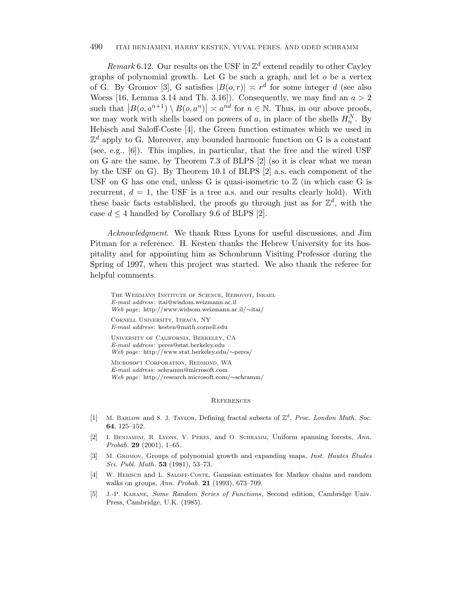#### 490 ITAI BENJAMINI, HARRY KESTEN, YUVAL PERES, AND ODED SCHRAMM

Remark 6.12. Our results on the USF in  $\mathbb{Z}^d$  extend readily to other Cayley graphs of polynomial growth. Let G be such a graph, and let *o* be a vertex of G. By Gromov [3], G satisfies  $|B(o, r)| \nightharpoonup r^d$  for some integer *d* (see also Woess [16, Lemma 3.14 and Th. 3.16]). Consequently, we may find an  $a > 2$ such that  $|B(o, a^{n+1}) \setminus B(o, a^n)| \approx a^{nd}$  for  $n \in \mathbb{N}$ . Thus, in our above proofs, we may work with shells based on powers of  $a$ , in place of the shells  $H_n^N$ . By Hebisch and Saloff-Coste [4], the Green function estimates which we used in  $\mathbb{Z}^d$  apply to G. Moreover, any bounded harmonic function on G is a constant (see, e.g., [6]). This implies, in particular, that the free and the wired USF on G are the same, by Theorem 7.3 of BLPS [2] (so it is clear what we mean by the USF on G). By Theorem 10.1 of BLPS [2] a.s. each component of the USF on G has one end, unless G is quasi-isometric to  $\mathbb Z$  (in which case G is recurrent,  $d = 1$ , the USF is a tree a.s. and our results clearly hold). With these basic facts established, the proofs go through just as for  $\mathbb{Z}^d$ , with the case  $d \leq 4$  handled by Corollary 9.6 of BLPS [2].

Acknowledgment. We thank Russ Lyons for useful discussions, and Jim Pitman for a reference. H. Kesten thanks the Hebrew University for its hospitality and for appointing him as Schonbrunn Visiting Professor during the Spring of 1997, when this project was started. We also thank the referee for helpful comments.

The Weizmann Institute of Science, Rehovot, Israel*E-mail address*: itai@wisdom.weizmann.ac.il *Web page*: http://www.widsom.weizmann.ac.il/∼itai/

Cornell University, Ithaca, NY *E-mail address*: kesten@math.cornell.edu

University of California, Berkeley, CA *E-mail address*: peres@stat.berkeley.edu *Web page*: http://www.stat.berkeley.edu/∼peres/

Microsoft Corporation, Redmond, WA *E-mail address*: schramm@microsoft.com *Web page*: http://research.microsoft.com/∼schramm/

#### References

- [1] M. Barlow and S. J. Taylor, Defining fractal subsets of Z*<sup>d</sup>*, *Proc. London Math. Soc.* **64**, 125–152.
- [2] I. Benjamini, R. Lyons, Y. Peres, and O. Schramm, Uniform spanning forests, *Ann. Probab*. **29** (2001), 1–65.
- [3] M. Gromov, Groups of polynomial growth and expanding maps, *Inst. Hautes Etudes ´ Sci. Publ. Math*. **53** (1981), 53–73.
- [4] W. Hebisch and L. Saloff-Coste, Gaussian estimates for Markov chains and random walks on groups, *Ann. Probab*. **21** (1993), 673–709.
- [5] J.-P. Kahane, *Some Random Series of Functions*, Second edition, Cambridge Univ. Press, Cambridge, U.K. (1985).